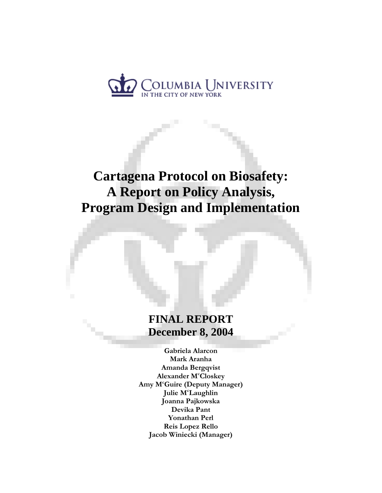

# **Cartagena Protocol on Biosafety: A Report on Policy Analysis, Program Design and Implementation**

# **FINAL REPORT December 8, 2004**

**Gabriela Alarcon Mark Aranha Amanda Bergqvist**  Alexander M<sup>c</sup>Closkey **Amy Mc Guire (Deputy Manager) Julie Mc Laughlin Joanna Pajkowska Devika Pant Yonathan Perl Reis Lopez Rello Jacob Winiecki (Manager)**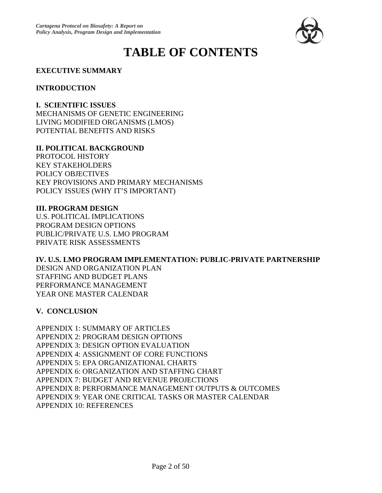

# **TABLE OF CONTENTS**

#### **EXECUTIVE SUMMARY**

#### **INTRODUCTION**

**I. SCIENTIFIC ISSUES**  MECHANISMS OF GENETIC ENGINEERING LIVING MODIFIED ORGANISMS (LMOS) POTENTIAL BENEFITS AND RISKS

#### **II. POLITICAL BACKGROUND**

PROTOCOL HISTORY KEY STAKEHOLDERS POLICY OBJECTIVES KEY PROVISIONS AND PRIMARY MECHANISMS POLICY ISSUES (WHY IT'S IMPORTANT)

#### **III. PROGRAM DESIGN**

U.S. POLITICAL IMPLICATIONS PROGRAM DESIGN OPTIONS PUBLIC/PRIVATE U.S. LMO PROGRAM PRIVATE RISK ASSESSMENTS

**IV. U.S. LMO PROGRAM IMPLEMENTATION: PUBLIC-PRIVATE PARTNERSHIP**  DESIGN AND ORGANIZATION PLAN STAFFING AND BUDGET PLANS PERFORMANCE MANAGEMENT YEAR ONE MASTER CALENDAR

#### **V. CONCLUSION**

APPENDIX 1: SUMMARY OF ARTICLES APPENDIX 2: PROGRAM DESIGN OPTIONS APPENDIX 3: DESIGN OPTION EVALUATION APPENDIX 4: ASSIGNMENT OF CORE FUNCTIONS APPENDIX 5: EPA ORGANIZATIONAL CHARTS APPENDIX 6: ORGANIZATION AND STAFFING CHART APPENDIX 7: BUDGET AND REVENUE PROJECTIONS APPENDIX 8: PERFORMANCE MANAGEMENT OUTPUTS & OUTCOMES APPENDIX 9: YEAR ONE CRITICAL TASKS OR MASTER CALENDAR APPENDIX 10: REFERENCES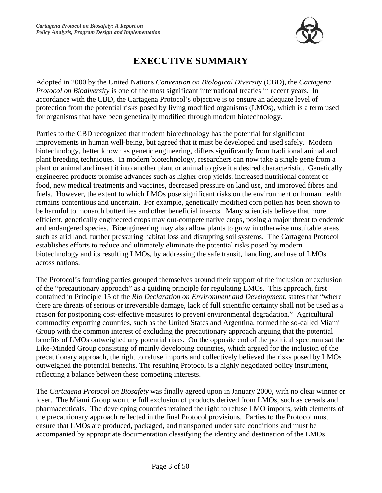

# **EXECUTIVE SUMMARY**

Adopted in 2000 by the United Nations *Convention on Biological Diversity* (CBD), the *Cartagena Protocol on Biodiversity* is one of the most significant international treaties in recent years. In accordance with the CBD, the Cartagena Protocol's objective is to ensure an adequate level of protection from the potential risks posed by living modified organisms (LMOs), which is a term used for organisms that have been genetically modified through modern biotechnology.

Parties to the CBD recognized that modern biotechnology has the potential for significant improvements in human well-being, but agreed that it must be developed and used safely. Modern biotechnology, better known as genetic engineering, differs significantly from traditional animal and plant breeding techniques. In modern biotechnology, researchers can now take a single gene from a plant or animal and insert it into another plant or animal to give it a desired characteristic. Genetically engineered products promise advances such as higher crop yields, increased nutritional content of food, new medical treatments and vaccines, decreased pressure on land use, and improved fibres and fuels. However, the extent to which LMOs pose significant risks on the environment or human health remains contentious and uncertain. For example, genetically modified corn pollen has been shown to be harmful to monarch butterflies and other beneficial insects. Many scientists believe that more efficient, genetically engineered crops may out-compete native crops, posing a major threat to endemic and endangered species. Bioengineering may also allow plants to grow in otherwise unsuitable areas such as arid land, further pressuring habitat loss and disrupting soil systems. The Cartagena Protocol establishes efforts to reduce and ultimately eliminate the potential risks posed by modern biotechnology and its resulting LMOs, by addressing the safe transit, handling, and use of LMOs across nations.

The Protocol's founding parties grouped themselves around their support of the inclusion or exclusion of the "precautionary approach" as a guiding principle for regulating LMOs. This approach, first contained in Principle 15 of the *Rio Declaration on Environment and Development,* states that "where there are threats of serious or irreversible damage, lack of full scientific certainty shall not be used as a reason for postponing cost-effective measures to prevent environmental degradation." Agricultural commodity exporting countries, such as the United States and Argentina, formed the so-called Miami Group with the common interest of excluding the precautionary approach arguing that the potential benefits of LMOs outweighed any potential risks. On the opposite end of the political spectrum sat the Like-Minded Group consisting of mainly developing countries, which argued for the inclusion of the precautionary approach, the right to refuse imports and collectively believed the risks posed by LMOs outweighed the potential benefits. The resulting Protocol is a highly negotiated policy instrument, reflecting a balance between these competing interests.

The *Cartagena Protocol on Biosafety* was finally agreed upon in January 2000, with no clear winner or loser. The Miami Group won the full exclusion of products derived from LMOs, such as cereals and pharmaceuticals. The developing countries retained the right to refuse LMO imports, with elements of the precautionary approach reflected in the final Protocol provisions. Parties to the Protocol must ensure that LMOs are produced, packaged, and transported under safe conditions and must be accompanied by appropriate documentation classifying the identity and destination of the LMOs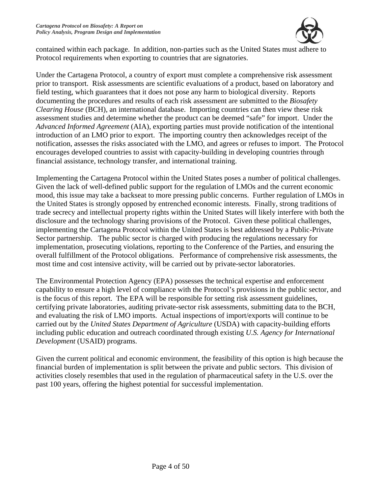

contained within each package. In addition, non-parties such as the United States must adhere to Protocol requirements when exporting to countries that are signatories.

Under the Cartagena Protocol, a country of export must complete a comprehensive risk assessment prior to transport. Risk assessments are scientific evaluations of a product, based on laboratory and field testing, which guarantees that it does not pose any harm to biological diversity. Reports documenting the procedures and results of each risk assessment are submitted to the *Biosafety Clearing House* (BCH), an international database. Importing countries can then view these risk assessment studies and determine whether the product can be deemed "safe" for import. Under the *Advanced Informed Agreement* (AIA), exporting parties must provide notification of the intentional introduction of an LMO prior to export. The importing country then acknowledges receipt of the notification, assesses the risks associated with the LMO, and agrees or refuses to import. The Protocol encourages developed countries to assist with capacity-building in developing countries through financial assistance, technology transfer, and international training.

Implementing the Cartagena Protocol within the United States poses a number of political challenges. Given the lack of well-defined public support for the regulation of LMOs and the current economic mood, this issue may take a backseat to more pressing public concerns. Further regulation of LMOs in the United States is strongly opposed by entrenched economic interests. Finally, strong traditions of trade secrecy and intellectual property rights within the United States will likely interfere with both the disclosure and the technology sharing provisions of the Protocol. Given these political challenges, implementing the Cartagena Protocol within the United States is best addressed by a Public-Private Sector partnership. The public sector is charged with producing the regulations necessary for implementation, prosecuting violations, reporting to the Conference of the Parties, and ensuring the overall fulfillment of the Protocol obligations. Performance of comprehensive risk assessments, the most time and cost intensive activity, will be carried out by private-sector laboratories.

The Environmental Protection Agency (EPA) possesses the technical expertise and enforcement capability to ensure a high level of compliance with the Protocol's provisions in the public sector, and is the focus of this report. The EPA will be responsible for setting risk assessment guidelines, certifying private laboratories, auditing private-sector risk assessments, submitting data to the BCH, and evaluating the risk of LMO imports. Actual inspections of import/exports will continue to be carried out by the *United States Department of Agriculture* (USDA) with capacity-building efforts including public education and outreach coordinated through existing *U.S. Agency for International Development* (USAID) programs.

Given the current political and economic environment, the feasibility of this option is high because the financial burden of implementation is split between the private and public sectors. This division of activities closely resembles that used in the regulation of pharmaceutical safety in the U.S. over the past 100 years, offering the highest potential for successful implementation.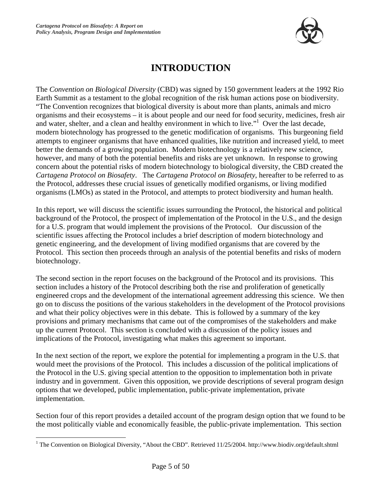

# **INTRODUCTION**

The *Convention on Biological Diversity* (CBD) was signed by 150 government leaders at the 1992 Rio Earth Summit as a testament to the global recognition of the risk human actions pose on biodiversity. "The Convention recognizes that biological diversity is about more than plants, animals and micro organisms and their ecosystems – it is about people and our need for food security, medicines, fresh air and water, shelter, and a clean and healthy environment in which to live."<sup>1</sup> Over the last decade, modern biotechnology has progressed to the genetic modification of organisms. This burgeoning field attempts to engineer organisms that have enhanced qualities, like nutrition and increased yield, to meet better the demands of a growing population. Modern biotechnology is a relatively new science, however, and many of both the potential benefits and risks are yet unknown. In response to growing concern about the potential risks of modern biotechnology to biological diversity, the CBD created the *Cartagena Protocol on Biosafety*. The *Cartagena Protocol on Biosafety*, hereafter to be referred to as the Protocol, addresses these crucial issues of genetically modified organisms, or living modified organisms (LMOs) as stated in the Protocol, and attempts to protect biodiversity and human health.

In this report, we will discuss the scientific issues surrounding the Protocol, the historical and political background of the Protocol, the prospect of implementation of the Protocol in the U.S., and the design for a U.S. program that would implement the provisions of the Protocol. Our discussion of the scientific issues affecting the Protocol includes a brief description of modern biotechnology and genetic engineering, and the development of living modified organisms that are covered by the Protocol. This section then proceeds through an analysis of the potential benefits and risks of modern biotechnology.

The second section in the report focuses on the background of the Protocol and its provisions. This section includes a history of the Protocol describing both the rise and proliferation of genetically engineered crops and the development of the international agreement addressing this science. We then go on to discuss the positions of the various stakeholders in the development of the Protocol provisions and what their policy objectives were in this debate. This is followed by a summary of the key provisions and primary mechanisms that came out of the compromises of the stakeholders and make up the current Protocol. This section is concluded with a discussion of the policy issues and implications of the Protocol, investigating what makes this agreement so important.

In the next section of the report, we explore the potential for implementing a program in the U.S. that would meet the provisions of the Protocol. This includes a discussion of the political implications of the Protocol in the U.S. giving special attention to the opposition to implementation both in private industry and in government. Given this opposition, we provide descriptions of several program design options that we developed, public implementation, public-private implementation, private implementation.

Section four of this report provides a detailed account of the program design option that we found to be the most politically viable and economically feasible, the public-private implementation. This section

 $\overline{a}$ 

<sup>&</sup>lt;sup>1</sup> The Convention on Biological Diversity, "About the CBD". Retrieved 11/25/2004. http://www.biodiv.org/default.shtml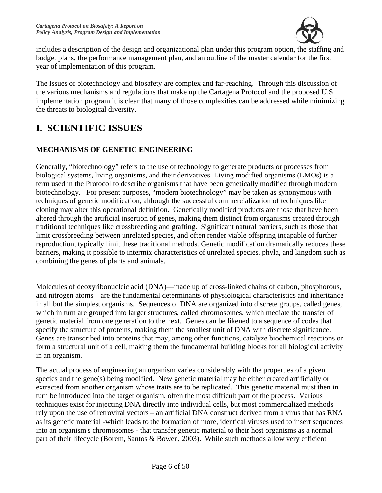

includes a description of the design and organizational plan under this program option, the staffing and budget plans, the performance management plan, and an outline of the master calendar for the first year of implementation of this program.

The issues of biotechnology and biosafety are complex and far-reaching. Through this discussion of the various mechanisms and regulations that make up the Cartagena Protocol and the proposed U.S. implementation program it is clear that many of those complexities can be addressed while minimizing the threats to biological diversity.

# **I. SCIENTIFIC ISSUES**

### **MECHANISMS OF GENETIC ENGINEERING**

Generally, "biotechnology" refers to the use of technology to generate products or processes from biological systems, living organisms, and their derivatives. Living modified organisms (LMOs) is a term used in the Protocol to describe organisms that have been genetically modified through modern biotechnology. For present purposes, "modern biotechnology" may be taken as synonymous with techniques of genetic modification, although the successful commercialization of techniques like cloning may alter this operational definition. Genetically modified products are those that have been altered through the artificial insertion of genes, making them distinct from organisms created through traditional techniques like crossbreeding and grafting. Significant natural barriers, such as those that limit crossbreeding between unrelated species, and often render viable offspring incapable of further reproduction, typically limit these traditional methods. Genetic modification dramatically reduces these barriers, making it possible to intermix characteristics of unrelated species, phyla, and kingdom such as combining the genes of plants and animals.

Molecules of deoxyribonucleic acid (DNA)—made up of cross-linked chains of carbon, phosphorous, and nitrogen atoms—are the fundamental determinants of physiological characteristics and inheritance in all but the simplest organisms. Sequences of DNA are organized into discrete groups, called genes, which in turn are grouped into larger structures, called chromosomes, which mediate the transfer of genetic material from one generation to the next. Genes can be likened to a sequence of codes that specify the structure of proteins, making them the smallest unit of DNA with discrete significance. Genes are transcribed into proteins that may, among other functions, catalyze biochemical reactions or form a structural unit of a cell, making them the fundamental building blocks for all biological activity in an organism.

The actual process of engineering an organism varies considerably with the properties of a given species and the gene(s) being modified. New genetic material may be either created artificially or extracted from another organism whose traits are to be replicated. This genetic material must then in turn be introduced into the target organism, often the most difficult part of the process. Various techniques exist for injecting DNA directly into individual cells, but most commercialized methods rely upon the use of retroviral vectors – an artificial DNA construct derived from a virus that has RNA as its genetic material -which leads to the formation of more, identical viruses used to insert sequences into an organism's chromosomes - that transfer genetic material to their host organisms as a normal part of their lifecycle (Borem, Santos & Bowen, 2003). While such methods allow very efficient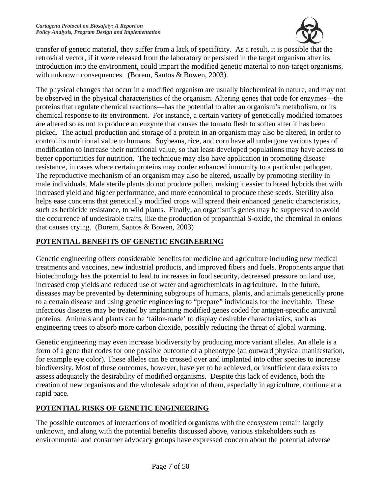

transfer of genetic material, they suffer from a lack of specificity. As a result, it is possible that the retroviral vector, if it were released from the laboratory or persisted in the target organism after its introduction into the environment, could impart the modified genetic material to non-target organisms, with unknown consequences. (Borem, Santos & Bowen, 2003).

The physical changes that occur in a modified organism are usually biochemical in nature, and may not be observed in the physical characteristics of the organism. Altering genes that code for enzymes—the proteins that regulate chemical reactions—has the potential to alter an organism's metabolism, or its chemical response to its environment. For instance, a certain variety of genetically modified tomatoes are altered so as not to produce an enzyme that causes the tomato flesh to soften after it has been picked. The actual production and storage of a protein in an organism may also be altered, in order to control its nutritional value to humans. Soybeans, rice, and corn have all undergone various types of modification to increase their nutritional value, so that least-developed populations may have access to better opportunities for nutrition. The technique may also have application in promoting disease resistance, in cases where certain proteins may confer enhanced immunity to a particular pathogen. The reproductive mechanism of an organism may also be altered, usually by promoting sterility in male individuals. Male sterile plants do not produce pollen, making it easier to breed hybrids that with increased yield and higher performance, and more economical to produce these seeds. Sterility also helps ease concerns that genetically modified crops will spread their enhanced genetic characteristics, such as herbicide resistance, to wild plants. Finally, an organism's genes may be suppressed to avoid the occurrence of undesirable traits, like the production of propanthial S-oxide, the chemical in onions that causes crying. (Borem, Santos & Bowen, 2003)

### **POTENTIAL BENEFITS OF GENETIC ENGINEERING**

Genetic engineering offers considerable benefits for medicine and agriculture including new medical treatments and vaccines, new industrial products, and improved fibers and fuels. Proponents argue that biotechnology has the potential to lead to increases in food security, decreased pressure on land use, increased crop yields and reduced use of water and agrochemicals in agriculture. In the future, diseases may be prevented by determining subgroups of humans, plants, and animals genetically prone to a certain disease and using genetic engineering to "prepare" individuals for the inevitable. These infectious diseases may be treated by implanting modified genes coded for antigen-specific antiviral proteins. Animals and plants can be 'tailor-made' to display desirable characteristics, such as engineering trees to absorb more carbon dioxide, possibly reducing the threat of global warming.

Genetic engineering may even increase biodiversity by producing more variant alleles. An allele is a form of a gene that codes for one possible outcome of a phenotype (an outward physical manifestation, for example eye color). These alleles can be crossed over and implanted into other species to increase biodiversity. Most of these outcomes, however, have yet to be achieved, or insufficient data exists to assess adequately the desirability of modified organisms. Despite this lack of evidence, both the creation of new organisms and the wholesale adoption of them, especially in agriculture, continue at a rapid pace.

### **POTENTIAL RISKS OF GENETIC ENGINEERING**

The possible outcomes of interactions of modified organisms with the ecosystem remain largely unknown, and along with the potential benefits discussed above, various stakeholders such as environmental and consumer advocacy groups have expressed concern about the potential adverse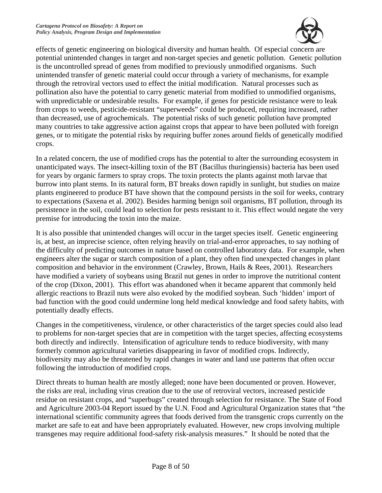

effects of genetic engineering on biological diversity and human health. Of especial concern are potential unintended changes in target and non-target species and genetic pollution. Genetic pollution is the uncontrolled spread of genes from modified to previously unmodified organisms. Such unintended transfer of genetic material could occur through a variety of mechanisms, for example through the retroviral vectors used to effect the initial modification. Natural processes such as pollination also have the potential to carry genetic material from modified to unmodified organisms, with unpredictable or undesirable results. For example, if genes for pesticide resistance were to leak from crops to weeds, pesticide-resistant "superweeds" could be produced, requiring increased, rather than decreased, use of agrochemicals. The potential risks of such genetic pollution have prompted many countries to take aggressive action against crops that appear to have been polluted with foreign genes, or to mitigate the potential risks by requiring buffer zones around fields of genetically modified crops.

In a related concern, the use of modified crops has the potential to alter the surrounding ecosystem in unanticipated ways. The insect-killing toxin of the BT (Bacillus thuringiensis) bacteria has been used for years by organic farmers to spray crops. The toxin protects the plants against moth larvae that burrow into plant stems. In its natural form, BT breaks down rapidly in sunlight, but studies on maize plants engineered to produce BT have shown that the compound persists in the soil for weeks, contrary to expectations (Saxena et al. 2002). Besides harming benign soil organisms, BT pollution, through its persistence in the soil, could lead to selection for pests resistant to it. This effect would negate the very premise for introducing the toxin into the maize.

It is also possible that unintended changes will occur in the target species itself. Genetic engineering is, at best, an imprecise science, often relying heavily on trial-and-error approaches, to say nothing of the difficulty of predicting outcomes in nature based on controlled laboratory data. For example, when engineers alter the sugar or starch composition of a plant, they often find unexpected changes in plant composition and behavior in the environment (Crawley, Brown, Hails & Rees, 2001). Researchers have modified a variety of soybeans using Brazil nut genes in order to improve the nutritional content of the crop (Dixon, 2001). This effort was abandoned when it became apparent that commonly held allergic reactions to Brazil nuts were also evoked by the modified soybean. Such 'hidden' import of bad function with the good could undermine long held medical knowledge and food safety habits, with potentially deadly effects.

Changes in the competitiveness, virulence, or other characteristics of the target species could also lead to problems for non-target species that are in competition with the target species, affecting ecosystems both directly and indirectly. Intensification of agriculture tends to reduce biodiversity, with many formerly common agricultural varieties disappearing in favor of modified crops. Indirectly, biodiversity may also be threatened by rapid changes in water and land use patterns that often occur following the introduction of modified crops.

Direct threats to human health are mostly alleged; none have been documented or proven. However, the risks are real, including virus creation due to the use of retroviral vectors, increased pesticide residue on resistant crops, and "superbugs" created through selection for resistance. The State of Food and Agriculture 2003-04 Report issued by the U.N. Food and Agricultural Organization states that "the international scientific community agrees that foods derived from the transgenic crops currently on the market are safe to eat and have been appropriately evaluated. However, new crops involving multiple transgenes may require additional food-safety risk-analysis measures." It should be noted that the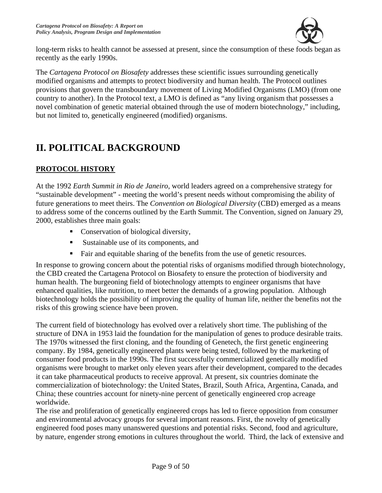

long-term risks to health cannot be assessed at present, since the consumption of these foods began as recently as the early 1990s.

The *Cartagena Protocol on Biosafety* addresses these scientific issues surrounding genetically modified organisms and attempts to protect biodiversity and human health. The Protocol outlines provisions that govern the transboundary movement of Living Modified Organisms (LMO) (from one country to another). In the Protocol text, a LMO is defined as "any living organism that possesses a novel combination of genetic material obtained through the use of modern biotechnology," including, but not limited to, genetically engineered (modified) organisms.

# **II. POLITICAL BACKGROUND**

### **PROTOCOL HISTORY**

At the 1992 *Earth Summit in Rio de Janeiro*, world leaders agreed on a comprehensive strategy for "sustainable development" - meeting the world's present needs without compromising the ability of future generations to meet theirs. The *Convention on Biological Diversity* (CBD) emerged as a means to address some of the concerns outlined by the Earth Summit. The Convention, signed on January 29, 2000, establishes three main goals:

- Conservation of biological diversity,
- Sustainable use of its components, and
- Fair and equitable sharing of the benefits from the use of genetic resources.

In response to growing concern about the potential risks of organisms modified through biotechnology, the CBD created the Cartagena Protocol on Biosafety to ensure the protection of biodiversity and human health. The burgeoning field of biotechnology attempts to engineer organisms that have enhanced qualities, like nutrition, to meet better the demands of a growing population. Although biotechnology holds the possibility of improving the quality of human life, neither the benefits not the risks of this growing science have been proven.

The current field of biotechnology has evolved over a relatively short time. The publishing of the structure of DNA in 1953 laid the foundation for the manipulation of genes to produce desirable traits. The 1970s witnessed the first cloning, and the founding of Genetech, the first genetic engineering company. By 1984, genetically engineered plants were being tested, followed by the marketing of consumer food products in the 1990s. The first successfully commercialized genetically modified organisms were brought to market only eleven years after their development, compared to the decades it can take pharmaceutical products to receive approval. At present, six countries dominate the commercialization of biotechnology: the United States, Brazil, South Africa, Argentina, Canada, and China; these countries account for ninety-nine percent of genetically engineered crop acreage worldwide.

The rise and proliferation of genetically engineered crops has led to fierce opposition from consumer and environmental advocacy groups for several important reasons. First, the novelty of genetically engineered food poses many unanswered questions and potential risks. Second, food and agriculture, by nature, engender strong emotions in cultures throughout the world. Third, the lack of extensive and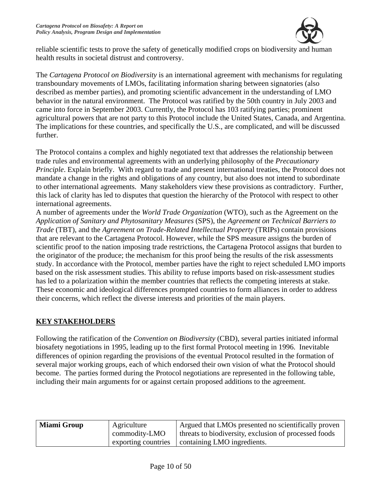

reliable scientific tests to prove the safety of genetically modified crops on biodiversity and human health results in societal distrust and controversy.

The *Cartagena Protocol on Biodiversity* is an international agreement with mechanisms for regulating transboundary movements of LMOs, facilitating information sharing between signatories (also described as member parties), and promoting scientific advancement in the understanding of LMO behavior in the natural environment. The Protocol was ratified by the 50th country in July 2003 and came into force in September 2003. Currently, the Protocol has 103 ratifying parties; prominent agricultural powers that are not party to this Protocol include the United States, Canada, and Argentina. The implications for these countries, and specifically the U.S., are complicated, and will be discussed further.

The Protocol contains a complex and highly negotiated text that addresses the relationship between trade rules and environmental agreements with an underlying philosophy of the *Precautionary Principle*. Explain briefly. With regard to trade and present international treaties, the Protocol does not mandate a change in the rights and obligations of any country, but also does not intend to subordinate to other international agreements. Many stakeholders view these provisions as contradictory. Further, this lack of clarity has led to disputes that question the hierarchy of the Protocol with respect to other international agreements.

A number of agreements under the *World Trade Organization* (WTO), such as the Agreement on the *Application of Sanitary and Phytosanitary Measures* (SPS), the *Agreement on Technical Barriers to Trade* (TBT), and the *Agreement on Trade-Related Intellectual Property* (TRIPs) contain provisions that are relevant to the Cartagena Protocol. However, while the SPS measure assigns the burden of scientific proof to the nation imposing trade restrictions, the Cartagena Protocol assigns that burden to the originator of the produce; the mechanism for this proof being the results of the risk assessments study. In accordance with the Protocol, member parties have the right to reject scheduled LMO imports based on the risk assessment studies. This ability to refuse imports based on risk-assessment studies has led to a polarization within the member countries that reflects the competing interests at stake. These economic and ideological differences prompted countries to form alliances in order to address their concerns, which reflect the diverse interests and priorities of the main players.

### **KEY STAKEHOLDERS**

Following the ratification of the *Convention on Biodiversity* (CBD), several parties initiated informal biosafety negotiations in 1995, leading up to the first formal Protocol meeting in 1996. Inevitable differences of opinion regarding the provisions of the eventual Protocol resulted in the formation of several major working groups, each of which endorsed their own vision of what the Protocol should become. The parties formed during the Protocol negotiations are represented in the following table, including their main arguments for or against certain proposed additions to the agreement.

| <b>Miami Group</b> | Agriculture         | Argued that LMOs presented no scientifically proven   |
|--------------------|---------------------|-------------------------------------------------------|
| commodity-LMO      |                     | threats to biodiversity, exclusion of processed foods |
|                    | exporting countries | containing LMO ingredients.                           |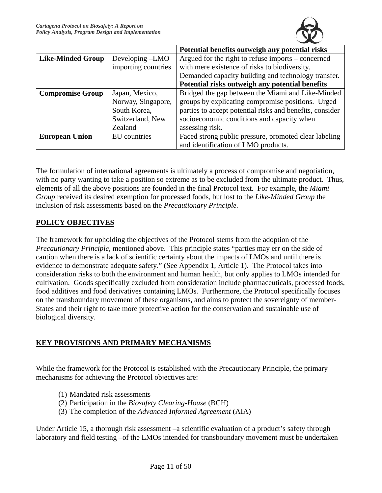

|                          |                     | Potential benefits outweigh any potential risks          |  |  |
|--------------------------|---------------------|----------------------------------------------------------|--|--|
| <b>Like-Minded Group</b> | Developing -LMO     | Argued for the right to refuse imports – concerned       |  |  |
|                          | importing countries | with mere existence of risks to biodiversity.            |  |  |
|                          |                     | Demanded capacity building and technology transfer.      |  |  |
|                          |                     | Potential risks outweigh any potential benefits          |  |  |
| <b>Compromise Group</b>  | Japan, Mexico,      | Bridged the gap between the Miami and Like-Minded        |  |  |
|                          | Norway, Singapore,  | groups by explicating compromise positions. Urged        |  |  |
|                          | South Korea,        | parties to accept potential risks and benefits, consider |  |  |
|                          | Switzerland, New    | socioeconomic conditions and capacity when               |  |  |
|                          | Zealand             | assessing risk.                                          |  |  |
| <b>European Union</b>    | EU countries        | Faced strong public pressure, promoted clear labeling    |  |  |
|                          |                     | and identification of LMO products.                      |  |  |

The formulation of international agreements is ultimately a process of compromise and negotiation, with no party wanting to take a position so extreme as to be excluded from the ultimate product. Thus, elements of all the above positions are founded in the final Protocol text. For example, the *Miami Group* received its desired exemption for processed foods, but lost to the *Like-Minded Group* the inclusion of risk assessments based on the *Precautionary Principle.*

### **POLICY OBJECTIVES**

The framework for upholding the objectives of the Protocol stems from the adoption of the *Precautionary Principle*, mentioned above. This principle states "parties may err on the side of caution when there is a lack of scientific certainty about the impacts of LMOs and until there is evidence to demonstrate adequate safety." (See Appendix 1, Article 1). The Protocol takes into consideration risks to both the environment and human health, but only applies to LMOs intended for cultivation. Goods specifically excluded from consideration include pharmaceuticals, processed foods, food additives and food derivatives containing LMOs. Furthermore, the Protocol specifically focuses on the transboundary movement of these organisms, and aims to protect the sovereignty of member-States and their right to take more protective action for the conservation and sustainable use of biological diversity.

### **KEY PROVISIONS AND PRIMARY MECHANISMS**

While the framework for the Protocol is established with the Precautionary Principle, the primary mechanisms for achieving the Protocol objectives are:

- (1) Mandated risk assessments
- (2) Participation in the *Biosafety Clearing-House* (BCH)
- (3) The completion of the *Advanced Informed Agreement* (AIA)

Under Article 15, a thorough risk assessment –a scientific evaluation of a product's safety through laboratory and field testing –of the LMOs intended for transboundary movement must be undertaken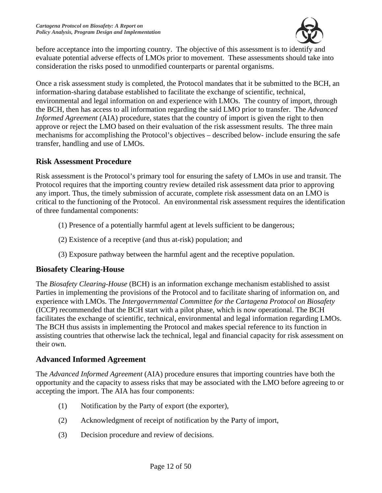

before acceptance into the importing country. The objective of this assessment is to identify and evaluate potential adverse effects of LMOs prior to movement. These assessments should take into consideration the risks posed to unmodified counterparts or parental organisms.

Once a risk assessment study is completed, the Protocol mandates that it be submitted to the BCH, an information-sharing database established to facilitate the exchange of scientific, technical, environmental and legal information on and experience with LMOs. The country of import, through the BCH, then has access to all information regarding the said LMO prior to transfer. The *Advanced Informed Agreement* (AIA) procedure, states that the country of import is given the right to then approve or reject the LMO based on their evaluation of the risk assessment results. The three main mechanisms for accomplishing the Protocol's objectives – described below- include ensuring the safe transfer, handling and use of LMOs.

### **Risk Assessment Procedure**

Risk assessment is the Protocol's primary tool for ensuring the safety of LMOs in use and transit. The Protocol requires that the importing country review detailed risk assessment data prior to approving any import. Thus, the timely submission of accurate, complete risk assessment data on an LMO is critical to the functioning of the Protocol. An environmental risk assessment requires the identification of three fundamental components:

- (1) Presence of a potentially harmful agent at levels sufficient to be dangerous;
- (2) Existence of a receptive (and thus at-risk) population; and
- (3) Exposure pathway between the harmful agent and the receptive population.

### **Biosafety Clearing-House**

The *Biosafety Clearing-House* (BCH) is an information exchange mechanism established to assist Parties in implementing the provisions of the Protocol and to facilitate sharing of information on, and experience with LMOs. The *Intergovernmental Committee for the Cartagena Protocol on Biosafety* (ICCP) recommended that the BCH start with a pilot phase, which is now operational. The BCH facilitates the exchange of scientific, technical, environmental and legal information regarding LMOs. The BCH thus assists in implementing the Protocol and makes special reference to its function in assisting countries that otherwise lack the technical, legal and financial capacity for risk assessment on their own.

### **Advanced Informed Agreement**

The *Advanced Informed Agreement* (AIA) procedure ensures that importing countries have both the opportunity and the capacity to assess risks that may be associated with the LMO before agreeing to or accepting the import. The AIA has four components:

- (1) Notification by the Party of export (the exporter),
- (2) Acknowledgment of receipt of notification by the Party of import,
- (3) Decision procedure and review of decisions.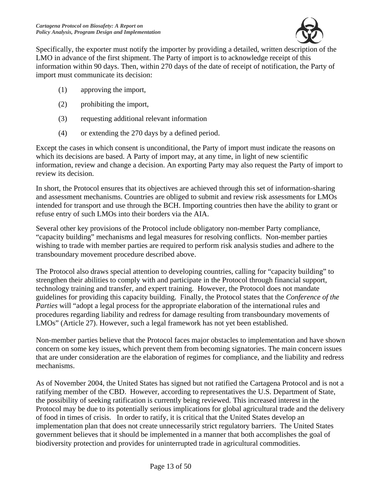

Specifically, the exporter must notify the importer by providing a detailed, written description of the LMO in advance of the first shipment. The Party of import is to acknowledge receipt of this information within 90 days. Then, within 270 days of the date of receipt of notification, the Party of import must communicate its decision:

- (1) approving the import,
- (2) prohibiting the import,
- (3) requesting additional relevant information
- (4) or extending the 270 days by a defined period.

Except the cases in which consent is unconditional, the Party of import must indicate the reasons on which its decisions are based. A Party of import may, at any time, in light of new scientific information, review and change a decision. An exporting Party may also request the Party of import to review its decision.

In short, the Protocol ensures that its objectives are achieved through this set of information-sharing and assessment mechanisms. Countries are obliged to submit and review risk assessments for LMOs intended for transport and use through the BCH. Importing countries then have the ability to grant or refuse entry of such LMOs into their borders via the AIA.

Several other key provisions of the Protocol include obligatory non-member Party compliance, "capacity building" mechanisms and legal measures for resolving conflicts. Non-member parties wishing to trade with member parties are required to perform risk analysis studies and adhere to the transboundary movement procedure described above.

The Protocol also draws special attention to developing countries, calling for "capacity building" to strengthen their abilities to comply with and participate in the Protocol through financial support, technology training and transfer, and expert training. However, the Protocol does not mandate guidelines for providing this capacity building. Finally, the Protocol states that the *Conference of the Parties* will "adopt a legal process for the appropriate elaboration of the international rules and procedures regarding liability and redress for damage resulting from transboundary movements of LMOs" (Article 27). However, such a legal framework has not yet been established.

Non-member parties believe that the Protocol faces major obstacles to implementation and have shown concern on some key issues, which prevent them from becoming signatories. The main concern issues that are under consideration are the elaboration of regimes for compliance, and the liability and redress mechanisms.

As of November 2004, the United States has signed but not ratified the Cartagena Protocol and is not a ratifying member of the CBD. However, according to representatives the U.S. Department of State, the possibility of seeking ratification is currently being reviewed. This increased interest in the Protocol may be due to its potentially serious implications for global agricultural trade and the delivery of food in times of crisis. In order to ratify, it is critical that the United States develop an implementation plan that does not create unnecessarily strict regulatory barriers. The United States government believes that it should be implemented in a manner that both accomplishes the goal of biodiversity protection and provides for uninterrupted trade in agricultural commodities.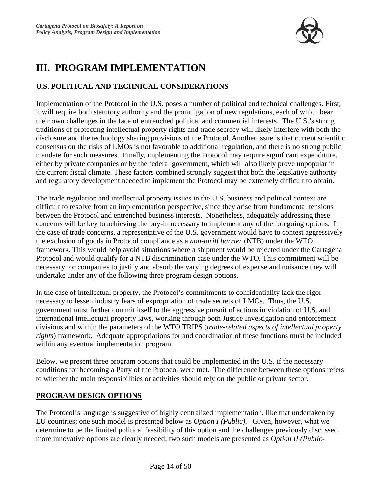

# **III. PROGRAM IMPLEMENTATION**

### **U.S. POLITICAL AND TECHNICAL CONSIDERATIONS**

Implementation of the Protocol in the U.S. poses a number of political and technical challenges. First, it will require both statutory authority and the promulgation of new regulations, each of which bear their own challenges in the face of entrenched political and commercial interests. The U.S.'s strong traditions of protecting intellectual property rights and trade secrecy will likely interfere with both the disclosure and the technology sharing provisions of the Protocol. Another issue is that current scientific consensus on the risks of LMOs is not favorable to additional regulation, and there is no strong public mandate for such measures. Finally, implementing the Protocol may require significant expenditure, either by private companies or by the federal government, which will also likely prove unpopular in the current fiscal climate. These factors combined strongly suggest that both the legislative authority and regulatory development needed to implement the Protocol may be extremely difficult to obtain.

The trade regulation and intellectual property issues in the U.S. business and political context are difficult to resolve from an implementation perspective, since they arise from fundamental tensions between the Protocol and entrenched business interests. Nonetheless, adequately addressing these concerns will be key to achieving the buy-in necessary to implement any of the foregoing options. In the case of trade concerns, a representative of the U.S. government would have to contest aggressively the exclusion of goods in Protocol compliance as a *non-tariff barrier* (NTB) under the WTO framework. This would help avoid situations where a shipment would be rejected under the Cartagena Protocol and would qualify for a NTB discrimination case under the WTO. This commitment will be necessary for companies to justify and absorb the varying degrees of expense and nuisance they will undertake under any of the following three program design options.

In the case of intellectual property, the Protocol's commitments to confidentiality lack the rigor necessary to lessen industry fears of expropriation of trade secrets of LMOs. Thus, the U.S. government must further commit itself to the aggressive pursuit of actions in violation of U.S. and international intellectual property laws, working through both Justice Investigation and enforcement divisions and within the parameters of the WTO TRIPS (*trade-related aspects of intellectual property rights*) framework. Adequate appropriations for and coordination of these functions must be included within any eventual implementation program.

Below, we present three program options that could be implemented in the U.S. if the necessary conditions for becoming a Party of the Protocol were met. The difference between these options refers to whether the main responsibilities or activities should rely on the public or private sector.

#### **PROGRAM DESIGN OPTIONS**

The Protocol's language is suggestive of highly centralized implementation, like that undertaken by EU countries; one such model is presented below as *Option I (Public)*. Given, however, what we determine to be the limited political feasibility of this option and the challenges previously discussed, more innovative options are clearly needed; two such models are presented as *Option II (Public-*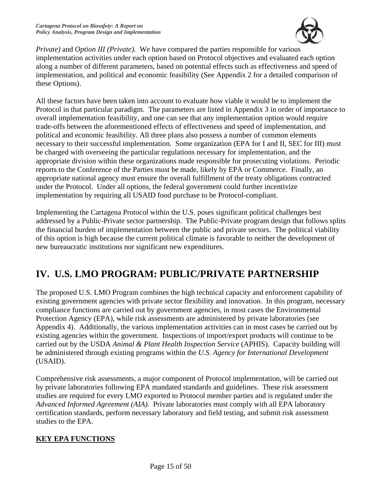

*Private)* and *Option III (Private)*. We have compared the parties responsible for various implementation activities under each option based on Protocol objectives and evaluated each option along a number of different parameters, based on potential effects such as effectiveness and speed of implementation, and political and economic feasibility (See Appendix 2 for a detailed comparison of these Options).

All these factors have been taken into account to evaluate how viable it would be to implement the Protocol in that particular paradigm. The parameters are listed in Appendix 3 in order of importance to overall implementation feasibility, and one can see that any implementation option would require trade-offs between the aforementioned effects of effectiveness and speed of implementation, and political and economic feasibility. All three plans also possess a number of common elements necessary to their successful implementation. Some organization (EPA for I and II, SEC for III) must be charged with overseeing the particular regulations necessary for implementation, and the appropriate division within these organizations made responsible for prosecuting violations. Periodic reports to the Conference of the Parties must be made, likely by EPA or Commerce. Finally, an appropriate national agency must ensure the overall fulfillment of the treaty obligations contracted under the Protocol. Under all options, the federal government could further incentivize implementation by requiring all USAID food purchase to be Protocol-compliant.

Implementing the Cartagena Protocol within the U.S. poses significant political challenges best addressed by a Public-Private sector partnership. The Public-Private program design that follows splits the financial burden of implementation between the public and private sectors. The political viability of this option is high because the current political climate is favorable to neither the development of new bureaucratic institutions nor significant new expenditures.

# **IV. U.S. LMO PROGRAM: PUBLIC/PRIVATE PARTNERSHIP**

The proposed U.S. LMO Program combines the high technical capacity and enforcement capability of existing government agencies with private sector flexibility and innovation. In this program, necessary compliance functions are carried out by government agencies, in most cases the Environmental Protection Agency (EPA), while risk assessments are administered by private laboratories (see Appendix 4). Additionally, the various implementation activities can in most cases be carried out by existing agencies within the government. Inspections of import/export products will continue to be carried out by the USDA *Animal & Plant Health Inspection Service* (APHIS). Capacity building will be administered through existing programs within the *U.S. Agency for International Development*  (USAID).

Comprehensive risk assessments, a major component of Protocol implementation, will be carried out by private laboratories following EPA mandated standards and guidelines. These risk assessment studies are required for every LMO exported to Protocol member parties and is regulated under the *Advanced Informed Agreement (AIA).* Private laboratories must comply with all EPA laboratory certification standards, perform necessary laboratory and field testing, and submit risk assessment studies to the EPA.

#### **KEY EPA FUNCTIONS**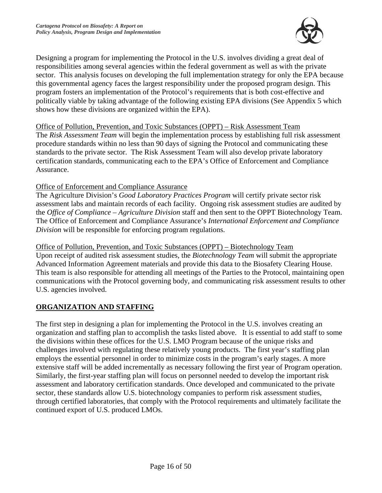

Designing a program for implementing the Protocol in the U.S. involves dividing a great deal of responsibilities among several agencies within the federal government as well as with the private sector. This analysis focuses on developing the full implementation strategy for only the EPA because this governmental agency faces the largest responsibility under the proposed program design. This program fosters an implementation of the Protocol's requirements that is both cost-effective and politically viable by taking advantage of the following existing EPA divisions (See Appendix 5 which shows how these divisions are organized within the EPA).

#### Office of Pollution, Prevention, and Toxic Substances (OPPT) – Risk Assessment Team

The *Risk Assessment Team* will begin the implementation process by establishing full risk assessment procedure standards within no less than 90 days of signing the Protocol and communicating these standards to the private sector. The Risk Assessment Team will also develop private laboratory certification standards, communicating each to the EPA's Office of Enforcement and Compliance Assurance.

#### Office of Enforcement and Compliance Assurance

The Agriculture Division's *Good Laboratory Practices Program* will certify private sector risk assessment labs and maintain records of each facility. Ongoing risk assessment studies are audited by the *Office of Compliance – Agriculture Division* staff and then sent to the OPPT Biotechnology Team. The Office of Enforcement and Compliance Assurance's *International Enforcement and Compliance Division* will be responsible for enforcing program regulations.

Office of Pollution, Prevention, and Toxic Substances (OPPT) – Biotechnology Team

Upon receipt of audited risk assessment studies, the *Biotechnology Team* will submit the appropriate Advanced Information Agreement materials and provide this data to the Biosafety Clearing House. This team is also responsible for attending all meetings of the Parties to the Protocol, maintaining open communications with the Protocol governing body, and communicating risk assessment results to other U.S. agencies involved.

#### **ORGANIZATION AND STAFFING**

The first step in designing a plan for implementing the Protocol in the U.S. involves creating an organization and staffing plan to accomplish the tasks listed above. It is essential to add staff to some the divisions within these offices for the U.S. LMO Program because of the unique risks and challenges involved with regulating these relatively young products. The first year's staffing plan employs the essential personnel in order to minimize costs in the program's early stages. A more extensive staff will be added incrementally as necessary following the first year of Program operation. Similarly, the first-year staffing plan will focus on personnel needed to develop the important risk assessment and laboratory certification standards. Once developed and communicated to the private sector, these standards allow U.S. biotechnology companies to perform risk assessment studies, through certified laboratories, that comply with the Protocol requirements and ultimately facilitate the continued export of U.S. produced LMOs.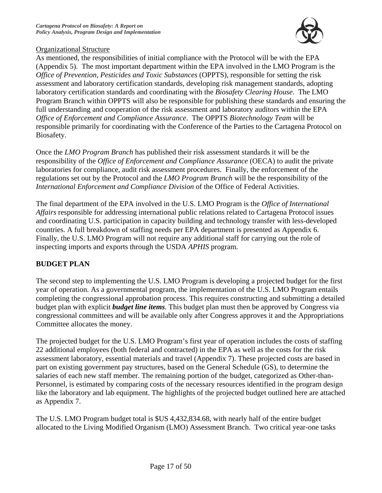

### Organizational Structure

As mentioned, the responsibilities of initial compliance with the Protocol will be with the EPA (Appendix 5). The most important department within the EPA involved in the LMO Program is the *Office of Prevention, Pesticides and Toxic Substances* (OPPTS), responsible for setting the risk assessment and laboratory certification standards, developing risk management standards, adopting laboratory certification standards and coordinating with the *Biosafety Clearing House*. The LMO Program Branch within OPPTS will also be responsible for publishing these standards and ensuring the full understanding and cooperation of the risk assessment and laboratory auditors within the EPA *Office of Enforcement and Compliance Assurance*. The OPPTS *Biotechnology Team* will be responsible primarily for coordinating with the Conference of the Parties to the Cartagena Protocol on Biosafety.

Once the *LMO Program Branch* has published their risk assessment standards it will be the responsibility of the *Office of Enforcement and Compliance Assurance* (OECA) to audit the private laboratories for compliance, audit risk assessment procedures. Finally, the enforcement of the regulations set out by the Protocol and the *LMO Program Branch* will be the responsibility of the *International Enforcement and Compliance Division* of the Office of Federal Activities.

The final department of the EPA involved in the U.S. LMO Program is the *Office of International Affairs* responsible for addressing international public relations related to Cartagena Protocol issues and coordinating U.S. participation in capacity building and technology transfer with less-developed countries. A full breakdown of staffing needs per EPA department is presented as Appendix 6. Finally, the U.S. LMO Program will not require any additional staff for carrying out the role of inspecting imports and exports through the USDA *APHIS* program.

### **BUDGET PLAN**

The second step to implementing the U.S. LMO Program is developing a projected budget for the first year of operation. As a governmental program, the implementation of the U.S. LMO Program entails completing the congressional approbation process. This requires constructing and submitting a detailed budget plan with explicit *budget line items*. This budget plan must then be approved by Congress via congressional committees and will be available only after Congress approves it and the Appropriations Committee allocates the money.

The projected budget for the U.S. LMO Program's first year of operation includes the costs of staffing 22 additional employees (both federal and contracted) in the EPA as well as the costs for the risk assessment laboratory, essential materials and travel (Appendix 7). These projected costs are based in part on existing government pay structures, based on the General Schedule (GS), to determine the salaries of each new staff member. The remaining portion of the budget, categorized as Other-than-Personnel, is estimated by comparing costs of the necessary resources identified in the program design like the laboratory and lab equipment. The highlights of the projected budget outlined here are attached as Appendix 7.

The U.S. LMO Program budget total is \$US 4,432,834.68, with nearly half of the entire budget allocated to the Living Modified Organism (LMO) Assessment Branch. Two critical year-one tasks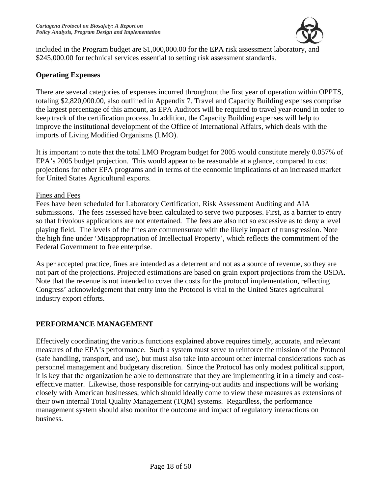

included in the Program budget are \$1,000,000.00 for the EPA risk assessment laboratory, and \$245,000.00 for technical services essential to setting risk assessment standards.

#### **Operating Expenses**

There are several categories of expenses incurred throughout the first year of operation within OPPTS, totaling \$2,820,000.00, also outlined in Appendix 7. Travel and Capacity Building expenses comprise the largest percentage of this amount, as EPA Auditors will be required to travel year-round in order to keep track of the certification process. In addition, the Capacity Building expenses will help to improve the institutional development of the Office of International Affairs, which deals with the imports of Living Modified Organisms (LMO).

It is important to note that the total LMO Program budget for 2005 would constitute merely 0.057% of EPA's 2005 budget projection. This would appear to be reasonable at a glance, compared to cost projections for other EPA programs and in terms of the economic implications of an increased market for United States Agricultural exports.

#### Fines and Fees

Fees have been scheduled for Laboratory Certification, Risk Assessment Auditing and AIA submissions. The fees assessed have been calculated to serve two purposes. First, as a barrier to entry so that frivolous applications are not entertained. The fees are also not so excessive as to deny a level playing field. The levels of the fines are commensurate with the likely impact of transgression. Note the high fine under 'Misappropriation of Intellectual Property', which reflects the commitment of the Federal Government to free enterprise.

As per accepted practice, fines are intended as a deterrent and not as a source of revenue, so they are not part of the projections. Projected estimations are based on grain export projections from the USDA. Note that the revenue is not intended to cover the costs for the protocol implementation, reflecting Congress' acknowledgement that entry into the Protocol is vital to the United States agricultural industry export efforts.

#### **PERFORMANCE MANAGEMENT**

Effectively coordinating the various functions explained above requires timely, accurate, and relevant measures of the EPA's performance. Such a system must serve to reinforce the mission of the Protocol (safe handling, transport, and use), but must also take into account other internal considerations such as personnel management and budgetary discretion. Since the Protocol has only modest political support, it is key that the organization be able to demonstrate that they are implementing it in a timely and costeffective matter. Likewise, those responsible for carrying-out audits and inspections will be working closely with American businesses, which should ideally come to view these measures as extensions of their own internal Total Quality Management (TQM) systems. Regardless, the performance management system should also monitor the outcome and impact of regulatory interactions on business.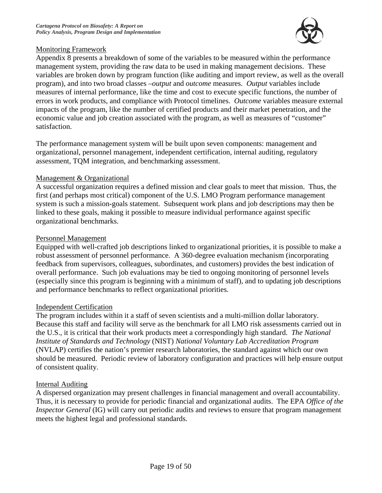

### Monitoring Framework

Appendix 8 presents a breakdown of some of the variables to be measured within the performance management system, providing the raw data to be used in making management decisions. These variables are broken down by program function (like auditing and import review, as well as the overall program), and into two broad classes –*output* and *outcome* measures. *Output* variables include measures of internal performance, like the time and cost to execute specific functions, the number of errors in work products, and compliance with Protocol timelines. *Outcome* variables measure external impacts of the program, like the number of certified products and their market penetration, and the economic value and job creation associated with the program, as well as measures of "customer" satisfaction.

The performance management system will be built upon seven components: management and organizational, personnel management, independent certification, internal auditing, regulatory assessment, TQM integration, and benchmarking assessment.

#### Management & Organizational

A successful organization requires a defined mission and clear goals to meet that mission. Thus, the first (and perhaps most critical) component of the U.S. LMO Program performance management system is such a mission-goals statement. Subsequent work plans and job descriptions may then be linked to these goals, making it possible to measure individual performance against specific organizational benchmarks.

#### Personnel Management

Equipped with well-crafted job descriptions linked to organizational priorities, it is possible to make a robust assessment of personnel performance. A 360-degree evaluation mechanism (incorporating feedback from supervisors, colleagues, subordinates, and customers) provides the best indication of overall performance. Such job evaluations may be tied to ongoing monitoring of personnel levels (especially since this program is beginning with a minimum of staff), and to updating job descriptions and performance benchmarks to reflect organizational priorities.

#### Independent Certification

The program includes within it a staff of seven scientists and a multi-million dollar laboratory. Because this staff and facility will serve as the benchmark for all LMO risk assessments carried out in the U.S., it is critical that their work products meet a correspondingly high standard. *The National Institute of Standards and Technology* (NIST) *National Voluntary Lab Accreditation Program* (NVLAP) certifies the nation's premier research laboratories, the standard against which our own should be measured. Periodic review of laboratory configuration and practices will help ensure output of consistent quality.

#### Internal Auditing

A dispersed organization may present challenges in financial management and overall accountability. Thus, it is necessary to provide for periodic financial and organizational audits. The EPA *Office of the Inspector General* (IG) will carry out periodic audits and reviews to ensure that program management meets the highest legal and professional standards.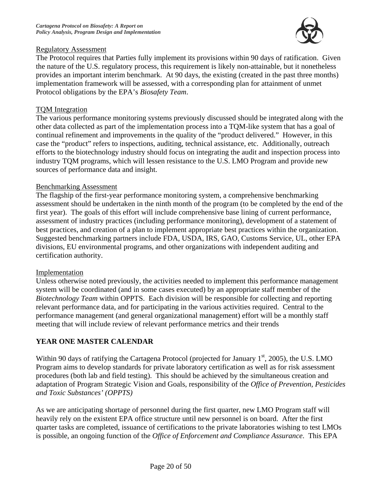

### Regulatory Assessment

The Protocol requires that Parties fully implement its provisions within 90 days of ratification. Given the nature of the U.S. regulatory process, this requirement is likely non-attainable, but it nonetheless provides an important interim benchmark. At 90 days, the existing (created in the past three months) implementation framework will be assessed, with a corresponding plan for attainment of unmet Protocol obligations by the EPA's *Biosafety Team*.

### TQM Integration

The various performance monitoring systems previously discussed should be integrated along with the other data collected as part of the implementation process into a TQM-like system that has a goal of continual refinement and improvements in the quality of the "product delivered." However, in this case the "product" refers to inspections, auditing, technical assistance, etc. Additionally, outreach efforts to the biotechnology industry should focus on integrating the audit and inspection process into industry TQM programs, which will lessen resistance to the U.S. LMO Program and provide new sources of performance data and insight.

#### Benchmarking Assessment

The flagship of the first-year performance monitoring system, a comprehensive benchmarking assessment should be undertaken in the ninth month of the program (to be completed by the end of the first year). The goals of this effort will include comprehensive base lining of current performance, assessment of industry practices (including performance monitoring), development of a statement of best practices, and creation of a plan to implement appropriate best practices within the organization. Suggested benchmarking partners include FDA, USDA, IRS, GAO, Customs Service, UL, other EPA divisions, EU environmental programs, and other organizations with independent auditing and certification authority.

#### Implementation

Unless otherwise noted previously, the activities needed to implement this performance management system will be coordinated (and in some cases executed) by an appropriate staff member of the *Biotechnology Team* within OPPTS. Each division will be responsible for collecting and reporting relevant performance data, and for participating in the various activities required. Central to the performance management (and general organizational management) effort will be a monthly staff meeting that will include review of relevant performance metrics and their trends

### **YEAR ONE MASTER CALENDAR**

Within 90 days of ratifying the Cartagena Protocol (projected for January  $1<sup>st</sup>$ , 2005), the U.S. LMO Program aims to develop standards for private laboratory certification as well as for risk assessment procedures (both lab and field testing). This should be achieved by the simultaneous creation and adaptation of Program Strategic Vision and Goals, responsibility of the *Office of Prevention, Pesticides and Toxic Substances' (OPPTS)* 

As we are anticipating shortage of personnel during the first quarter, new LMO Program staff will heavily rely on the existent EPA office structure until new personnel is on board. After the first quarter tasks are completed, issuance of certifications to the private laboratories wishing to test LMOs is possible, an ongoing function of the *Office of Enforcement and Compliance Assurance*. This EPA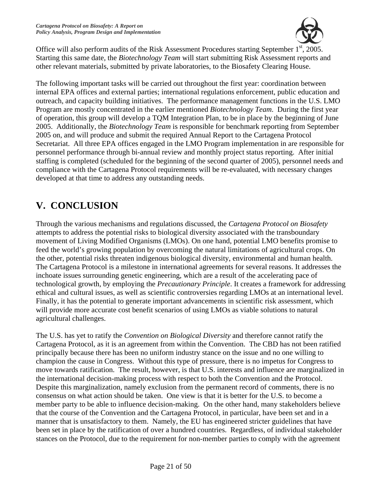

Office will also perform audits of the Risk Assessment Procedures starting September 1<sup>st</sup>, 2005. Starting this same date, the *Biotechnology Team* will start submitting Risk Assessment reports and other relevant materials, submitted by private laboratories, to the Biosafety Clearing House.

The following important tasks will be carried out throughout the first year: coordination between internal EPA offices and external parties; international regulations enforcement, public education and outreach, and capacity building initiatives. The performance management functions in the U.S. LMO Program are mostly concentrated in the earlier mentioned *Biotechnology Team*. During the first year of operation, this group will develop a TQM Integration Plan, to be in place by the beginning of June 2005. Additionally, the *Biotechnology Team* is responsible for benchmark reporting from September 2005 on, and will produce and submit the required Annual Report to the Cartagena Protocol Secretariat. All three EPA offices engaged in the LMO Program implementation in are responsible for personnel performance through bi-annual review and monthly project status reporting. After initial staffing is completed (scheduled for the beginning of the second quarter of 2005), personnel needs and compliance with the Cartagena Protocol requirements will be re-evaluated, with necessary changes developed at that time to address any outstanding needs.

# **V. CONCLUSION**

Through the various mechanisms and regulations discussed, the *Cartagena Protocol on Biosafety* attempts to address the potential risks to biological diversity associated with the transboundary movement of Living Modified Organisms (LMOs). On one hand, potential LMO benefits promise to feed the world's growing population by overcoming the natural limitations of agricultural crops. On the other, potential risks threaten indigenous biological diversity, environmental and human health. The Cartagena Protocol is a milestone in international agreements for several reasons. It addresses the inchoate issues surrounding genetic engineering, which are a result of the accelerating pace of technological growth, by employing the *Precautionary Principle*. It creates a framework for addressing ethical and cultural issues, as well as scientific controversies regarding LMOs at an international level. Finally, it has the potential to generate important advancements in scientific risk assessment, which will provide more accurate cost benefit scenarios of using LMOs as viable solutions to natural agricultural challenges.

The U.S. has yet to ratify the *Convention on Biological Diversity* and therefore cannot ratify the Cartagena Protocol, as it is an agreement from within the Convention. The CBD has not been ratified principally because there has been no uniform industry stance on the issue and no one willing to champion the cause in Congress. Without this type of pressure, there is no impetus for Congress to move towards ratification. The result, however, is that U.S. interests and influence are marginalized in the international decision-making process with respect to both the Convention and the Protocol. Despite this marginalization, namely exclusion from the permanent record of comments, there is no consensus on what action should be taken. One view is that it is better for the U.S. to become a member party to be able to influence decision-making. On the other hand, many stakeholders believe that the course of the Convention and the Cartagena Protocol, in particular, have been set and in a manner that is unsatisfactory to them. Namely, the EU has engineered stricter guidelines that have been set in place by the ratification of over a hundred countries. Regardless, of individual stakeholder stances on the Protocol, due to the requirement for non-member parties to comply with the agreement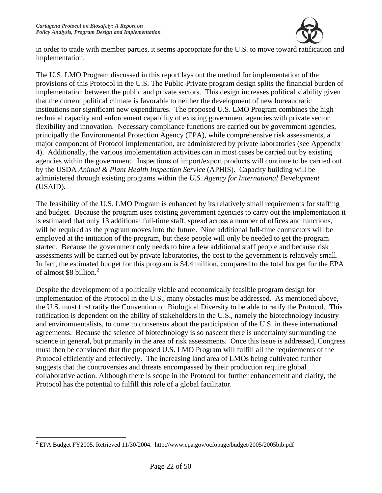

in order to trade with member parties, it seems appropriate for the U.S. to move toward ratification and implementation.

The U.S. LMO Program discussed in this report lays out the method for implementation of the provisions of this Protocol in the U.S. The Public-Private program design splits the financial burden of implementation between the public and private sectors. This design increases political viability given that the current political climate is favorable to neither the development of new bureaucratic institutions nor significant new expenditures. The proposed U.S. LMO Program combines the high technical capacity and enforcement capability of existing government agencies with private sector flexibility and innovation. Necessary compliance functions are carried out by government agencies, principally the Environmental Protection Agency (EPA), while comprehensive risk assessments, a major component of Protocol implementation, are administered by private laboratories (see Appendix 4). Additionally, the various implementation activities can in most cases be carried out by existing agencies within the government. Inspections of import/export products will continue to be carried out by the USDA *Animal & Plant Health Inspection Service* (APHIS). Capacity building will be administered through existing programs within the *U.S. Agency for International Development*  (USAID).

The feasibility of the U.S. LMO Program is enhanced by its relatively small requirements for staffing and budget. Because the program uses existing government agencies to carry out the implementation it is estimated that only 13 additional full-time staff, spread across a number of offices and functions, will be required as the program moves into the future. Nine additional full-time contractors will be employed at the initiation of the program, but these people will only be needed to get the program started. Because the government only needs to hire a few additional staff people and because risk assessments will be carried out by private laboratories, the cost to the government is relatively small. In fact, the estimated budget for this program is \$4.4 million, compared to the total budget for the EPA of almost \$8 billion.<sup>2</sup>

Despite the development of a politically viable and economically feasible program design for implementation of the Protocol in the U.S., many obstacles must be addressed. As mentioned above, the U.S. must first ratify the Convention on Biological Diversity to be able to ratify the Protocol. This ratification is dependent on the ability of stakeholders in the U.S., namely the biotechnology industry and environmentalists, to come to consensus about the participation of the U.S. in these international agreements. Because the science of biotechnology is so nascent there is uncertainty surrounding the science in general, but primarily in the area of risk assessments. Once this issue is addressed, Congress must then be convinced that the proposed U.S. LMO Program will fulfill all the requirements of the Protocol efficiently and effectively. The increasing land area of LMOs being cultivated further suggests that the controversies and threats encompassed by their production require global collaborative action. Although there is scope in the Protocol for further enhancement and clarity, the Protocol has the potential to fulfill this role of a global facilitator.

 $\overline{a}$  $2$  EPA Budget FY2005. Retrieved 11/30/2004. http://www.epa.gov/ocfopage/budget/2005/2005bib.pdf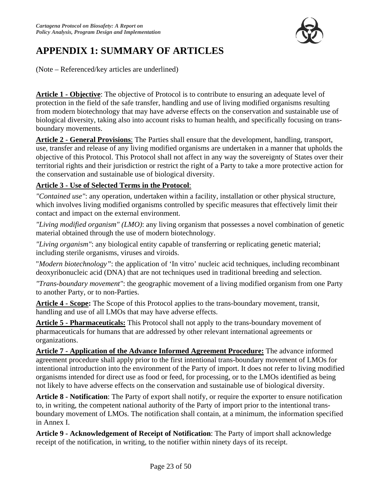

# **APPENDIX 1: SUMMARY OF ARTICLES**

(Note – Referenced/key articles are underlined)

**Article 1 - Objective**: The objective of Protocol is to contribute to ensuring an adequate level of protection in the field of the safe transfer, handling and use of living modified organisms resulting from modern biotechnology that may have adverse effects on the conservation and sustainable use of biological diversity, taking also into account risks to human health, and specifically focusing on transboundary movements.

**Article 2 - General Provisions**: The Parties shall ensure that the development, handling, transport, use, transfer and release of any living modified organisms are undertaken in a manner that upholds the objective of this Protocol. This Protocol shall not affect in any way the sovereignty of States over their territorial rights and their jurisdiction or restrict the right of a Party to take a more protective action for the conservation and sustainable use of biological diversity.

### **Article 3 - Use of Selected Terms in the Protocol**:

*"Contained use"*: any operation, undertaken within a facility, installation or other physical structure, which involves living modified organisms controlled by specific measures that effectively limit their contact and impact on the external environment.

*"Living modified organism" (LMO)*: any living organism that possesses a novel combination of genetic material obtained through the use of modern biotechnology.

*"Living organism"*: any biological entity capable of transferring or replicating genetic material; including sterile organisms, viruses and viroids.

"*Modern biotechnology"*: the application of 'In vitro' nucleic acid techniques, including recombinant deoxyribonucleic acid (DNA) that are not techniques used in traditional breeding and selection.

*"Trans-boundary movement"*: the geographic movement of a living modified organism from one Party to another Party, or to non-Parties.

**Article 4 - Scope:** The Scope of this Protocol applies to the trans-boundary movement, transit, handling and use of all LMOs that may have adverse effects.

**Article 5 - Pharmaceuticals:** This Protocol shall not apply to the trans-boundary movement of pharmaceuticals for humans that are addressed by other relevant international agreements or organizations.

**Article 7 - Application of the Advance Informed Agreement Procedure:** The advance informed agreement procedure shall apply prior to the first intentional trans-boundary movement of LMOs for intentional introduction into the environment of the Party of import. It does not refer to living modified organisms intended for direct use as food or feed, for processing, or to the LMOs identified as being not likely to have adverse effects on the conservation and sustainable use of biological diversity.

**Article 8 - Notification**: The Party of export shall notify, or require the exporter to ensure notification to, in writing, the competent national authority of the Party of import prior to the intentional transboundary movement of LMOs. The notification shall contain, at a minimum, the information specified in Annex I.

**Article 9 - Acknowledgement of Receipt of Notification**: The Party of import shall acknowledge receipt of the notification, in writing, to the notifier within ninety days of its receipt.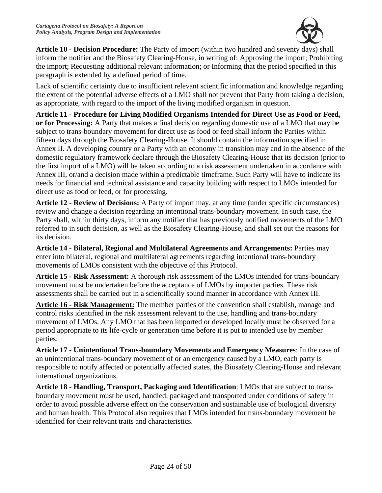

**Article 10 - Decision Procedure:** The Party of import (within two hundred and seventy days) shall inform the notifier and the Biosafety Clearing-House, in writing of: Approving the import; Prohibiting the import; Requesting additional relevant information; or Informing that the period specified in this paragraph is extended by a defined period of time.

Lack of scientific certainty due to insufficient relevant scientific information and knowledge regarding the extent of the potential adverse effects of a LMO shall not prevent that Party from taking a decision, as appropriate, with regard to the import of the living modified organism in question.

**Article 11 - Procedure for Living Modified Organisms Intended for Direct Use as Food or Feed, or for Processing:** A Party that makes a final decision regarding domestic use of a LMO that may be subject to trans-boundary movement for direct use as food or feed shall inform the Parties within fifteen days through the Biosafety Clearing-House. It should contain the information specified in Annex II. A developing country or a Party with an economy in transition may and in the absence of the domestic regulatory framework declare through the Biosafety Clearing-House that its decision (prior to the first import of a LMO) will be taken according to a risk assessment undertaken in accordance with Annex III, or/and a decision made within a predictable timeframe. Such Party will have to indicate its needs for financial and technical assistance and capacity building with respect to LMOs intended for direct use as food or feed, or for processing.

**Article 12 - Review of Decisions:** A Party of import may, at any time (under specific circumstances) review and change a decision regarding an intentional trans-boundary movement. In such case, the Party shall, within thirty days, inform any notifier that has previously notified movements of the LMO referred to in such decision, as well as the Biosafety Clearing-House, and shall set out the reasons for its decision.

**Article 14 - Bilateral, Regional and Multilateral Agreements and Arrangements:** Parties may enter into bilateral, regional and multilateral agreements regarding intentional trans-boundary movements of LMOs consistent with the objective of this Protocol.

**Article 15 - Risk Assessment:** A thorough risk assessment of the LMOs intended for trans-boundary movement must be undertaken before the acceptance of LMOs by importer parties. These risk assessments shall be carried out in a scientifically sound manner in accordance with Annex III.

**Article 16 - Risk Management:** The member parties of the convention shall establish, manage and control risks identified in the risk assessment relevant to the use, handling and trans-boundary movement of LMOs. Any LMO that has been imported or developed locally must be observed for a period appropriate to its life-cycle or generation time before it is put to intended use by member parties.

**Article 17 - Unintentional Trans-boundary Movements and Emergency Measures**: In the case of an unintentional trans-boundary movement of or an emergency caused by a LMO, each party is responsible to notify affected or potentially affected states, the Biosafety Clearing-House and relevant international organizations.

**Article 18 - Handling, Transport, Packaging and Identification**: LMOs that are subject to transboundary movement must be used, handled, packaged and transported under conditions of safety in order to avoid possible adverse effect on the conservation and sustainable use of biological diversity and human health. This Protocol also requires that LMOs intended for trans-boundary movement be identified for their relevant traits and characteristics.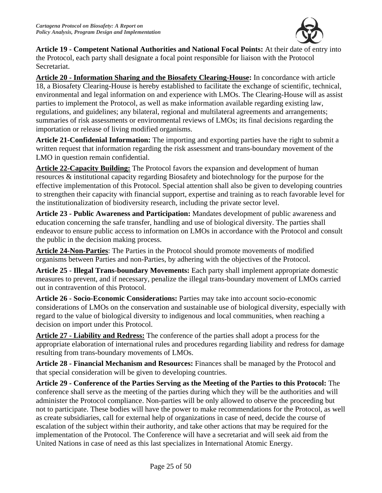

**Article 19 - Competent National Authorities and National Focal Points:** At their date of entry into the Protocol, each party shall designate a focal point responsible for liaison with the Protocol Secretariat.

**Article 20 - Information Sharing and the Biosafety Clearing-House:** In concordance with article 18, a Biosafety Clearing-House is hereby established to facilitate the exchange of scientific, technical, environmental and legal information on and experience with LMOs. The Clearing-House will as assist parties to implement the Protocol, as well as make information available regarding existing law, regulations, and guidelines; any bilateral, regional and multilateral agreements and arrangements; summaries of risk assessments or environmental reviews of LMOs; its final decisions regarding the importation or release of living modified organisms.

**Article 21-Confidenial Information:** The importing and exporting parties have the right to submit a written request that information regarding the risk assessment and trans-boundary movement of the LMO in question remain confidential.

**Article 22-Capacity Building:** The Protocol favors the expansion and development of human resources & institutional capacity regarding Biosafety and biotechnology for the purpose for the effective implementation of this Protocol. Special attention shall also be given to developing countries to strengthen their capacity with financial support, expertise and training as to reach favorable level for the institutionalization of biodiversity research, including the private sector level.

**Article 23 - Public Awareness and Participation:** Mandates development of public awareness and education concerning the safe transfer, handling and use of biological diversity. The parties shall endeavor to ensure public access to information on LMOs in accordance with the Protocol and consult the public in the decision making process.

**Article 24-Non-Parties**: The Parties in the Protocol should promote movements of modified organisms between Parties and non-Parties, by adhering with the objectives of the Protocol.

**Article 25 - Illegal Trans-boundary Movements:** Each party shall implement appropriate domestic measures to prevent, and if necessary, penalize the illegal trans-boundary movement of LMOs carried out in contravention of this Protocol.

**Article 26 - Socio-Economic Considerations:** Parties may take into account socio-economic considerations of LMOs on the conservation and sustainable use of biological diversity, especially with regard to the value of biological diversity to indigenous and local communities, when reaching a decision on import under this Protocol.

**Article 27 - Liability and Redress:** The conference of the parties shall adopt a process for the appropriate elaboration of international rules and procedures regarding liability and redress for damage resulting from trans-boundary movements of LMOs.

**Article 28 - Financial Mechanism and Resources:** Finances shall be managed by the Protocol and that special consideration will be given to developing countries.

**Article 29 - Conference of the Parties Serving as the Meeting of the Parties to this Protocol:** The conference shall serve as the meeting of the parties during which they will be the authorities and will administer the Protocol compliance. Non-parties will be only allowed to observe the proceeding but not to participate. These bodies will have the power to make recommendations for the Protocol, as well as create subsidiaries, call for external help of organizations in case of need, decide the course of escalation of the subject within their authority, and take other actions that may be required for the implementation of the Protocol. The Conference will have a secretariat and will seek aid from the United Nations in case of need as this last specializes in International Atomic Energy.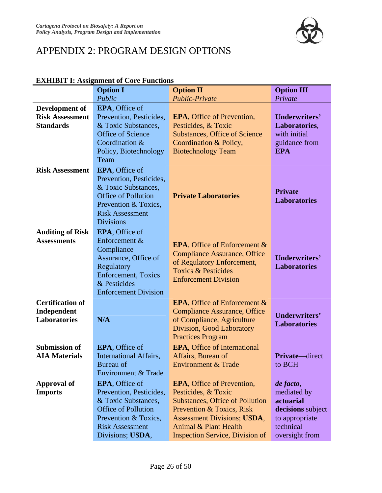

# APPENDIX 2: PROGRAM DESIGN OPTIONS

|                                                               | елицы і вызваннені от соге гансиону<br><b>Option I</b>                                                                                                                      | <b>Option II</b>                                                                                                                                                                                                                         | <b>Option III</b>                                                                                           |
|---------------------------------------------------------------|-----------------------------------------------------------------------------------------------------------------------------------------------------------------------------|------------------------------------------------------------------------------------------------------------------------------------------------------------------------------------------------------------------------------------------|-------------------------------------------------------------------------------------------------------------|
|                                                               | Public                                                                                                                                                                      | <b>Public-Private</b>                                                                                                                                                                                                                    | Private                                                                                                     |
| Development of                                                | <b>EPA, Office of</b>                                                                                                                                                       |                                                                                                                                                                                                                                          |                                                                                                             |
| <b>Risk Assessment</b><br><b>Standards</b>                    | Prevention, Pesticides,<br>& Toxic Substances,<br><b>Office of Science</b><br>Coordination &<br>Policy, Biotechnology<br>Team                                               | <b>EPA</b> , Office of Prevention,<br>Pesticides, & Toxic<br><b>Substances, Office of Science</b><br>Coordination & Policy,<br><b>Biotechnology Team</b>                                                                                 | Underwriters'<br>Laboratories,<br>with initial<br>guidance from<br><b>EPA</b>                               |
| <b>Risk Assessment</b>                                        | <b>EPA, Office of</b><br>Prevention, Pesticides,<br>& Toxic Substances,<br><b>Office of Pollution</b><br>Prevention & Toxics,<br><b>Risk Assessment</b><br><b>Divisions</b> | <b>Private Laboratories</b>                                                                                                                                                                                                              | <b>Private</b><br><b>Laboratories</b>                                                                       |
| <b>Auditing of Risk</b><br><b>Assessments</b>                 | <b>EPA, Office of</b><br>Enforcement &<br>Compliance<br>Assurance, Office of<br>Regulatory<br><b>Enforcement</b> , Toxics<br>& Pesticides<br><b>Enforcement Division</b>    | <b>EPA, Office of Enforcement &amp;</b><br><b>Compliance Assurance, Office</b><br>of Regulatory Enforcement,<br><b>Toxics &amp; Pesticides</b><br><b>Enforcement Division</b>                                                            | <b>Underwriters'</b><br><b>Laboratories</b>                                                                 |
| <b>Certification of</b><br>Independent<br><b>Laboratories</b> | N/A                                                                                                                                                                         | <b>EPA, Office of Enforcement &amp;</b><br><b>Compliance Assurance, Office</b><br>of Compliance, Agriculture<br>Division, Good Laboratory<br><b>Practices Program</b>                                                                    | <b>Underwriters'</b><br><b>Laboratories</b>                                                                 |
| <b>Submission of</b><br><b>AIA Materials</b>                  | <b>EPA, Office of</b><br><b>International Affairs,</b><br>Bureau of<br><b>Environment &amp; Trade</b>                                                                       | <b>EPA, Office of International</b><br>Affairs, Bureau of<br><b>Environment &amp; Trade</b>                                                                                                                                              | <b>Private</b> —direct<br>to BCH                                                                            |
| <b>Approval of</b><br><b>Imports</b>                          | <b>EPA, Office of</b><br>Prevention, Pesticides,<br>& Toxic Substances,<br><b>Office of Pollution</b><br>Prevention & Toxics,<br><b>Risk Assessment</b><br>Divisions; USDA, | <b>EPA, Office of Prevention,</b><br>Pesticides, & Toxic<br><b>Substances, Office of Pollution</b><br>Prevention & Toxics, Risk<br><b>Assessment Divisions; USDA,</b><br>Animal & Plant Health<br><b>Inspection Service, Division of</b> | de facto,<br>mediated by<br>actuarial<br>decisions subject<br>to appropriate<br>technical<br>oversight from |

### **EXHIBIT I: Assignment of Core Functions**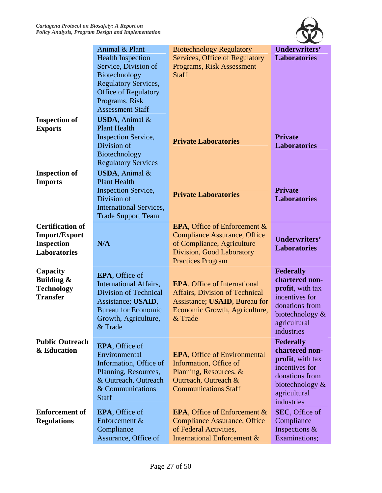

|                                                                                             | Animal & Plant<br><b>Health Inspection</b><br>Service, Division of<br>Biotechnology<br><b>Regulatory Services,</b><br><b>Office of Regulatory</b><br>Programs, Risk<br><b>Assessment Staff</b> | <b>Biotechnology Regulatory</b><br><b>Services, Office of Regulatory</b><br><b>Programs, Risk Assessment</b><br><b>Staff</b>                                          | <b>Underwriters'</b><br><b>Laboratories</b>                                                                                                    |
|---------------------------------------------------------------------------------------------|------------------------------------------------------------------------------------------------------------------------------------------------------------------------------------------------|-----------------------------------------------------------------------------------------------------------------------------------------------------------------------|------------------------------------------------------------------------------------------------------------------------------------------------|
| <b>Inspection of</b><br><b>Exports</b>                                                      | <b>USDA</b> , Animal $\&$<br><b>Plant Health</b><br><b>Inspection Service,</b><br>Division of<br>Biotechnology<br><b>Regulatory Services</b>                                                   | <b>Private Laboratories</b>                                                                                                                                           | <b>Private</b><br><b>Laboratories</b>                                                                                                          |
| <b>Inspection of</b><br><b>Imports</b>                                                      | <b>USDA</b> , Animal $\&$<br><b>Plant Health</b><br><b>Inspection Service,</b><br>Division of<br><b>International Services,</b><br><b>Trade Support Team</b>                                   | <b>Private Laboratories</b>                                                                                                                                           | <b>Private</b><br><b>Laboratories</b>                                                                                                          |
| <b>Certification of</b><br><b>Import/Export</b><br><b>Inspection</b><br><b>Laboratories</b> | N/A                                                                                                                                                                                            | <b>EPA, Office of Enforcement &amp;</b><br><b>Compliance Assurance, Office</b><br>of Compliance, Agriculture<br>Division, Good Laboratory<br><b>Practices Program</b> | Underwriters'<br><b>Laboratories</b>                                                                                                           |
| Capacity<br><b>Building &amp;</b><br><b>Technology</b><br><b>Transfer</b>                   | <b>EPA, Office of</b><br><b>International Affairs,</b><br><b>Division of Technical</b><br>Assistance; USAID,<br><b>Bureau for Economic</b><br>Growth, Agriculture,<br>& Trade                  | <b>EPA, Office of International</b><br><b>Affairs, Division of Technical</b><br>Assistance; USAID, Bureau for<br>Economic Growth, Agriculture,<br>& Trade             | <b>Federally</b><br>chartered non-<br>profit, with tax<br>incentives for<br>donations from<br>biotechnology $\&$<br>agricultural<br>industries |
| <b>Public Outreach</b><br>& Education                                                       | <b>EPA, Office of</b><br>Environmental<br>Information, Office of<br>Planning, Resources,<br>& Outreach, Outreach<br>& Communications<br><b>Staff</b>                                           | <b>EPA, Office of Environmental</b><br>Information, Office of<br>Planning, Resources, &<br>Outreach, Outreach &<br><b>Communications Staff</b>                        | <b>Federally</b><br>chartered non-<br>profit, with tax<br>incentives for<br>donations from<br>biotechnology $\&$<br>agricultural<br>industries |
| <b>Enforcement of</b><br><b>Regulations</b>                                                 | <b>EPA, Office of</b><br>Enforcement &<br>Compliance<br>Assurance, Office of                                                                                                                   | <b>EPA</b> , Office of Enforcement &<br><b>Compliance Assurance, Office</b><br>of Federal Activities,<br><b>International Enforcement &amp;</b>                       | SEC, Office of<br>Compliance<br>Inspections &<br>Examinations;                                                                                 |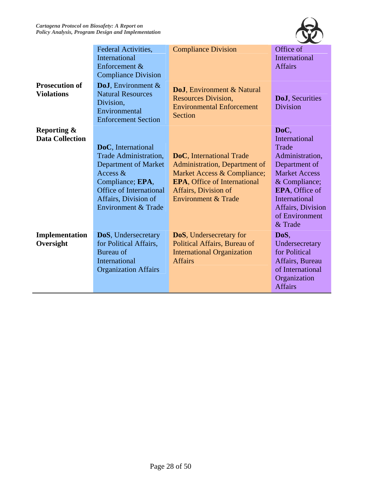

|                                                  | Federal Activities,<br>International<br>Enforcement &<br><b>Compliance Division</b>                                                                                                            | <b>Compliance Division</b>                                                                                                                                                                | Office of<br>International<br><b>Affairs</b>                                                                                                                                                            |
|--------------------------------------------------|------------------------------------------------------------------------------------------------------------------------------------------------------------------------------------------------|-------------------------------------------------------------------------------------------------------------------------------------------------------------------------------------------|---------------------------------------------------------------------------------------------------------------------------------------------------------------------------------------------------------|
| <b>Prosecution of</b><br><b>Violations</b>       | <b>DoJ</b> , Environment $\&$<br><b>Natural Resources</b><br>Division,<br>Environmental<br><b>Enforcement Section</b>                                                                          | DoJ, Environment & Natural<br><b>Resources Division,</b><br><b>Environmental Enforcement</b><br>Section                                                                                   | <b>DoJ</b> , Securities<br><b>Division</b>                                                                                                                                                              |
| <b>Reporting &amp;</b><br><b>Data Collection</b> | DoC, International<br>Trade Administration,<br><b>Department of Market</b><br>Access $\&$<br>Compliance; EPA,<br><b>Office of International</b><br>Affairs, Division of<br>Environment & Trade | DoC, International Trade<br>Administration, Department of<br>Market Access & Compliance;<br><b>EPA, Office of International</b><br>Affairs, Division of<br><b>Environment &amp; Trade</b> | DoC,<br>International<br>Trade<br>Administration,<br>Department of<br><b>Market Access</b><br>& Compliance;<br>EPA, Office of<br><b>International</b><br>Affairs, Division<br>of Environment<br>& Trade |
| Implementation<br>Oversight                      | DoS, Undersecretary<br>for Political Affairs,<br>Bureau of<br>International<br><b>Organization Affairs</b>                                                                                     | <b>DoS</b> , Undersecretary for<br>Political Affairs, Bureau of<br><b>International Organization</b><br><b>Affairs</b>                                                                    | DoS,<br>Undersecretary<br>for Political<br>Affairs, Bureau<br>of International<br>Organization<br><b>Affairs</b>                                                                                        |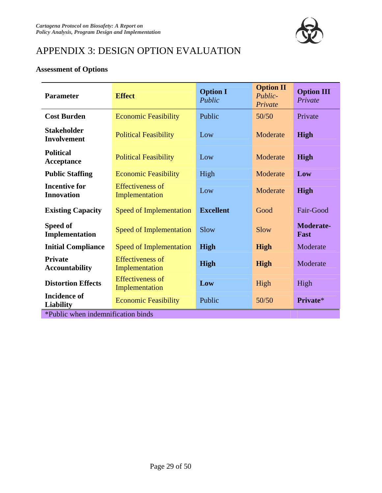

# APPENDIX 3: DESIGN OPTION EVALUATION

### **Assessment of Options**

| <b>Parameter</b>                          | <b>Effect</b>                             | <b>Option I</b><br>Public | <b>Option II</b><br>Public-<br>Private | <b>Option III</b><br>Private |  |
|-------------------------------------------|-------------------------------------------|---------------------------|----------------------------------------|------------------------------|--|
| <b>Cost Burden</b>                        | <b>Economic Feasibility</b>               | Public                    | 50/50                                  | Private                      |  |
| <b>Stakeholder</b><br><b>Involvement</b>  | <b>Political Feasibility</b>              | Low                       | Moderate                               | <b>High</b>                  |  |
| <b>Political</b><br>Acceptance            | <b>Political Feasibility</b>              | Low                       | Moderate                               | <b>High</b>                  |  |
| <b>Public Staffing</b>                    | <b>Economic Feasibility</b>               | High                      | Moderate                               | Low                          |  |
| <b>Incentive for</b><br><b>Innovation</b> | <b>Effectiveness of</b><br>Implementation | Low                       | Moderate                               | <b>High</b>                  |  |
| <b>Existing Capacity</b>                  | <b>Speed of Implementation</b>            | <b>Excellent</b>          | Good                                   | Fair-Good                    |  |
| Speed of<br>Implementation                | <b>Speed of Implementation</b>            | Slow                      | Slow                                   | <b>Moderate-</b><br>Fast     |  |
| <b>Initial Compliance</b>                 | Speed of Implementation                   | High                      | <b>High</b>                            | Moderate                     |  |
| <b>Private</b><br><b>Accountability</b>   | <b>Effectiveness of</b><br>Implementation | High                      | <b>High</b>                            | Moderate                     |  |
| <b>Distortion Effects</b>                 | <b>Effectiveness of</b><br>Implementation | Low                       | High                                   | High                         |  |
| <b>Incidence of</b><br><b>Liability</b>   | <b>Economic Feasibility</b>               | Public                    | 50/50                                  | Private*                     |  |
| *Public when indemnification binds        |                                           |                           |                                        |                              |  |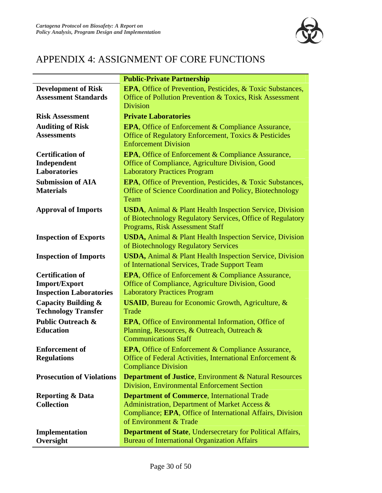

# APPENDIX 4: ASSIGNMENT OF CORE FUNCTIONS

|                                  | <b>Public-Private Partnership</b>                                                                                        |
|----------------------------------|--------------------------------------------------------------------------------------------------------------------------|
| <b>Development of Risk</b>       | <b>EPA</b> , Office of Prevention, Pesticides, & Toxic Substances,                                                       |
| <b>Assessment Standards</b>      | Office of Pollution Prevention & Toxics, Risk Assessment                                                                 |
|                                  | <b>Division</b>                                                                                                          |
| <b>Risk Assessment</b>           | <b>Private Laboratories</b>                                                                                              |
| <b>Auditing of Risk</b>          | <b>EPA</b> , Office of Enforcement & Compliance Assurance,                                                               |
| <b>Assessments</b>               | Office of Regulatory Enforcement, Toxics & Pesticides                                                                    |
|                                  | <b>Enforcement Division</b>                                                                                              |
| <b>Certification of</b>          | <b>EPA, Office of Enforcement &amp; Compliance Assurance,</b>                                                            |
| Independent                      | Office of Compliance, Agriculture Division, Good                                                                         |
| <b>Laboratories</b>              | <b>Laboratory Practices Program</b>                                                                                      |
| <b>Submission of AIA</b>         | <b>EPA, Office of Prevention, Pesticides, &amp; Toxic Substances,</b>                                                    |
| <b>Materials</b>                 | Office of Science Coordination and Policy, Biotechnology                                                                 |
|                                  | Team                                                                                                                     |
| <b>Approval of Imports</b>       | <b>USDA</b> , Animal & Plant Health Inspection Service, Division                                                         |
|                                  | of Biotechnology Regulatory Services, Office of Regulatory                                                               |
|                                  | Programs, Risk Assessment Staff                                                                                          |
| <b>Inspection of Exports</b>     | <b>USDA</b> , Animal & Plant Health Inspection Service, Division                                                         |
|                                  | of Biotechnology Regulatory Services                                                                                     |
| <b>Inspection of Imports</b>     | <b>USDA</b> , Animal & Plant Health Inspection Service, Division                                                         |
|                                  | of International Services, Trade Support Team                                                                            |
| <b>Certification of</b>          | <b>EPA, Office of Enforcement &amp; Compliance Assurance,</b>                                                            |
| <b>Import/Export</b>             | Office of Compliance, Agriculture Division, Good                                                                         |
| <b>Inspection Laboratories</b>   | <b>Laboratory Practices Program</b>                                                                                      |
| <b>Capacity Building &amp;</b>   | <b>USAID</b> , Bureau for Economic Growth, Agriculture, &                                                                |
| <b>Technology Transfer</b>       | Trade                                                                                                                    |
| <b>Public Outreach &amp;</b>     | <b>EPA</b> , Office of Environmental Information, Office of                                                              |
| <b>Education</b>                 | Planning, Resources, & Outreach, Outreach &                                                                              |
|                                  | <b>Communications Staff</b>                                                                                              |
| <b>Enforcement of</b>            | <b>EPA, Office of Enforcement &amp; Compliance Assurance,</b>                                                            |
| <b>Regulations</b>               | Office of Federal Activities, International Enforcement &                                                                |
|                                  | <b>Compliance Division</b>                                                                                               |
| <b>Prosecution of Violations</b> | <b>Department of Justice, Environment &amp; Natural Resources</b>                                                        |
|                                  | <b>Division, Environmental Enforcement Section</b>                                                                       |
| <b>Reporting &amp; Data</b>      | <b>Department of Commerce, International Trade</b>                                                                       |
| <b>Collection</b>                | Administration, Department of Market Access &                                                                            |
|                                  | Compliance; EPA, Office of International Affairs, Division<br>of Environment & Trade                                     |
|                                  |                                                                                                                          |
| Implementation<br>Oversight      | <b>Department of State, Undersecretary for Political Affairs,</b><br><b>Bureau of International Organization Affairs</b> |
|                                  |                                                                                                                          |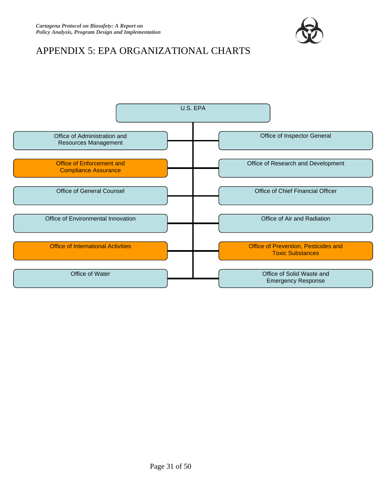

# APPENDIX 5: EPA ORGANIZATIONAL CHARTS

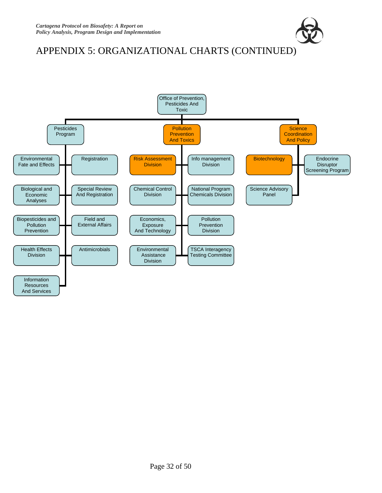

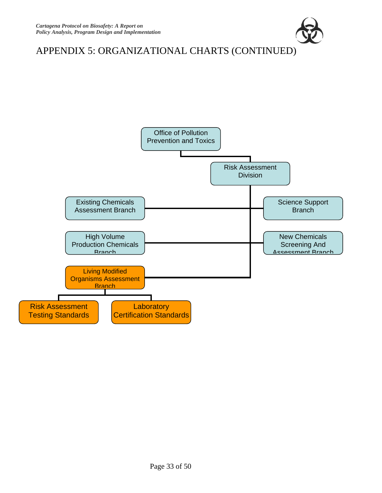

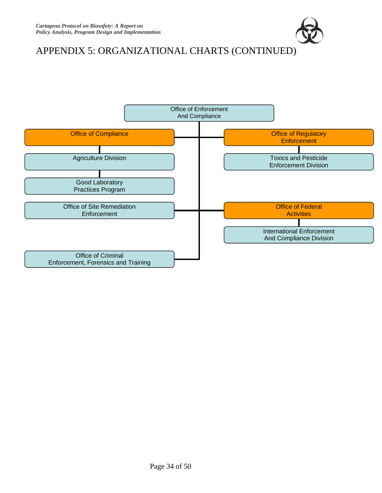

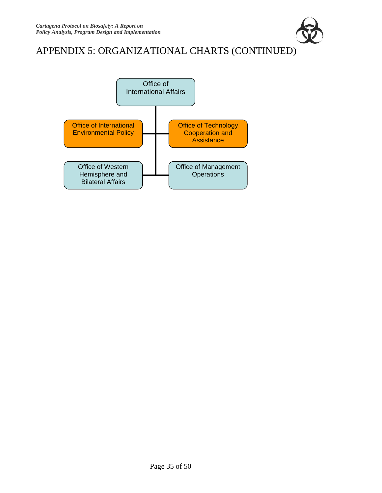

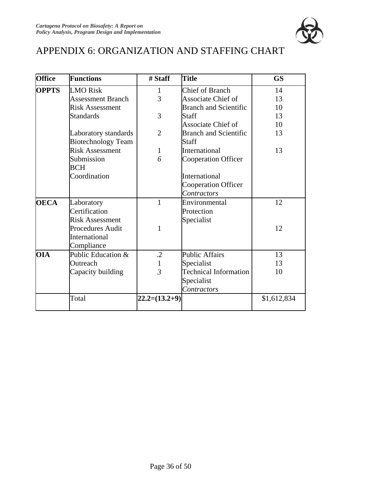

# APPENDIX 6: ORGANIZATION AND STAFFING CHART

| <b>Office</b> | <b>Functions</b>          | # Staff         | <b>Title</b>                 | <b>GS</b>   |
|---------------|---------------------------|-----------------|------------------------------|-------------|
| <b>OPPTS</b>  | <b>LMO</b> Risk           | 1               | <b>Chief of Branch</b>       | 14          |
|               | <b>Assessment Branch</b>  | 3               | <b>Associate Chief of</b>    | 13          |
|               | <b>Risk Assessment</b>    |                 | <b>Branch and Scientific</b> | 10          |
|               | <b>Standards</b>          | 3               | <b>Staff</b>                 | 13          |
|               |                           |                 | Associate Chief of           | 10          |
|               | Laboratory standards      | $\overline{2}$  | <b>Branch and Scientific</b> | 13          |
|               | <b>Biotechnology Team</b> |                 | Staff                        |             |
|               | <b>Risk Assessment</b>    | $\mathbf{1}$    | International                | 13          |
|               | Submission                | 6               | <b>Cooperation Officer</b>   |             |
|               | BCH                       |                 |                              |             |
|               | Coordination              |                 | International                |             |
|               |                           |                 | <b>Cooperation Officer</b>   |             |
|               |                           |                 | Contractors                  |             |
| <b>OECA</b>   | Laboratory                | $\mathbf{1}$    | Environmental                | 12          |
|               | Certification             |                 | Protection                   |             |
|               | <b>Risk Assessment</b>    |                 | Specialist                   |             |
|               | Procedures Audit          | 1               |                              | 12          |
|               | International             |                 |                              |             |
|               | Compliance                |                 |                              |             |
| <b>OIA</b>    | Public Education &        | $\cdot$ .2      | <b>Public Affairs</b>        | 13          |
|               | Outreach                  | 1               | Specialist                   | 13          |
|               | Capacity building         | $\overline{3}$  | <b>Technical Information</b> | 10          |
|               |                           |                 | Specialist                   |             |
|               |                           |                 | Contractors                  |             |
|               | Total                     | $22.2=(13.2+9)$ |                              | \$1,612,834 |
|               |                           |                 |                              |             |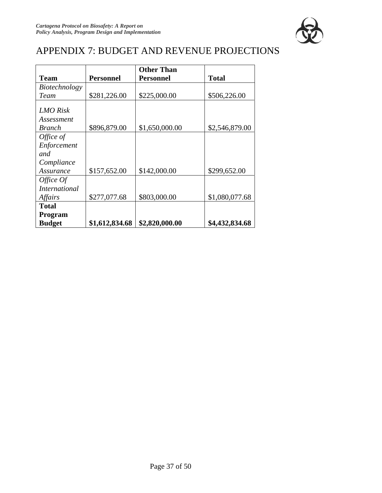

# APPENDIX 7: BUDGET AND REVENUE PROJECTIONS

|                               |                  | <b>Other Than</b> |                |
|-------------------------------|------------------|-------------------|----------------|
| <b>Team</b>                   | <b>Personnel</b> | <b>Personnel</b>  | <b>Total</b>   |
| Biotechnology                 |                  |                   |                |
| Team                          | \$281,226.00     | \$225,000.00      | \$506,226.00   |
| <b>LMO</b> Risk<br>Assessment |                  |                   |                |
| <i>Branch</i>                 | \$896,879.00     | \$1,650,000.00    | \$2,546,879.00 |
| Office of                     |                  |                   |                |
| Enforcement                   |                  |                   |                |
| and                           |                  |                   |                |
| Compliance                    |                  |                   |                |
| Assurance                     | \$157,652.00     | \$142,000.00      | \$299,652.00   |
| Office Of                     |                  |                   |                |
| <i>International</i>          |                  |                   |                |
| Affairs                       | \$277,077.68     | \$803,000.00      | \$1,080,077.68 |
| <b>Total</b>                  |                  |                   |                |
| Program                       |                  |                   |                |
| <b>Budget</b>                 | \$1,612,834.68   | \$2,820,000.00    | \$4,432,834.68 |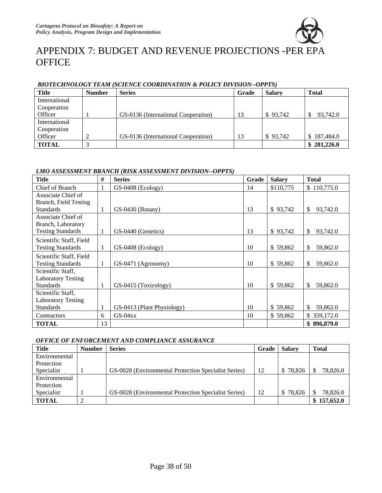

# APPENDIX 7: BUDGET AND REVENUE PROJECTIONS -PER EPA **OFFICE**

| <u>DIVIECHNOLOGI TEAM (SCIENCE COOKDINATION &amp; FOLICT DIVISION--OFFIS)</u> |               |                                     |       |               |                |
|-------------------------------------------------------------------------------|---------------|-------------------------------------|-------|---------------|----------------|
| <b>Title</b>                                                                  | <b>Number</b> | <b>Series</b>                       | Grade | <b>Salary</b> | <b>Total</b>   |
| International                                                                 |               |                                     |       |               |                |
| Cooperation                                                                   |               |                                     |       |               |                |
| Officer                                                                       |               | GS-0136 (International Cooperation) | 13    | \$93,742      | 93,742.0       |
| International                                                                 |               |                                     |       |               |                |
| Cooperation                                                                   |               |                                     |       |               |                |
| Officer                                                                       |               | GS-0136 (International Cooperation) | 13    | \$93,742      | 187,484.0<br>S |
| <b>TOTAL</b>                                                                  |               |                                     |       |               | \$281,226.0    |

#### *BIOTECHNOLOGY TEAM (SCIENCE COORDINATION & POLICY DIVISION--OPPTS)*

#### *LMO ASSESSMENT BRANCH (RISK ASSESSMENT DIVISION--OPPTS)*

| <b>Title</b>              | #  | <b>Series</b>              | Grade | <b>Salary</b> | <b>Total</b>             |
|---------------------------|----|----------------------------|-------|---------------|--------------------------|
| Chief of Branch           |    | GS-0408 (Ecology)          | 14    | \$110,775     | \$110,775.0              |
| Associate Chief of        |    |                            |       |               |                          |
| Branch, Field Testing     |    |                            |       |               |                          |
| <b>Standards</b>          | 1  | $GS-0430$ (Botany)         | 13    | \$93,742      | \$<br>93,742.0           |
| Associate Chief of        |    |                            |       |               |                          |
| Branch, Laboratory        |    |                            |       |               |                          |
| <b>Testing Standards</b>  | 1  | GS-0440 (Genetics)         | 13    | \$93,742      | 93,742.0<br>\$.          |
| Scientific Staff, Field   |    |                            |       |               |                          |
| <b>Testing Standards</b>  | 1  | $GS-0408$ (Ecology)        | 10    | \$59,862      | \$<br>59,862.0           |
| Scientific Staff, Field   |    |                            |       |               |                          |
| <b>Testing Standards</b>  | 1  | GS-0471 (Agronomy)         | 10    | \$59,862      | \$<br>59,862.0           |
| Scientific Staff,         |    |                            |       |               |                          |
| <b>Laboratory Testing</b> |    |                            |       |               |                          |
| <b>Standards</b>          | 1  | GS-0415 (Toxicology)       | 10    | \$59,862      | \$<br>59,862.0           |
| Scientific Staff,         |    |                            |       |               |                          |
| <b>Laboratory Testing</b> |    |                            |       |               |                          |
| <b>Standards</b>          |    | GS-0413 (Plant Physiology) | 10    | \$59,862      | $\mathbb{S}$<br>59,862.0 |
| Contractors               | 6  | $GS-04xx$                  | 10    | \$59,862      | \$359,172.0              |
| <b>TOTAL</b>              | 13 |                            |       |               | \$896,879.0              |

#### *OFFICE OF ENFORCEMENT AND COMPLIANCE ASSURANCE*

| <b>Title</b>  | <b>Number</b> | <b>Series</b>                                        | Grade | <b>Salarv</b> | <b>Total</b> |
|---------------|---------------|------------------------------------------------------|-------|---------------|--------------|
| Environmental |               |                                                      |       |               |              |
| Protection    |               |                                                      |       |               |              |
| Specialist    |               | GS-0028 (Environmental Protection Specialist Series) | 12    | \$78,826      | 78,826.0     |
| Environmental |               |                                                      |       |               |              |
| Protection    |               |                                                      |       |               |              |
| Specialist    |               | GS-0028 (Environmental Protection Specialist Series) | 12    | \$78,826      | 78,826.0     |
| <b>TOTAL</b>  |               |                                                      |       |               | 157,652.0    |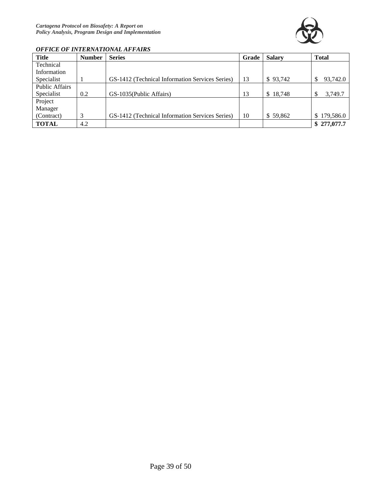

#### *OFFICE OF INTERNATIONAL AFFAIRS*

| <b>Title</b>          | <b>Number</b> | <b>Series</b>                                   | Grade | <b>Salary</b>           | <b>Total</b>    |
|-----------------------|---------------|-------------------------------------------------|-------|-------------------------|-----------------|
| Technical             |               |                                                 |       |                         |                 |
| Information           |               |                                                 |       |                         |                 |
| Specialist            |               | GS-1412 (Technical Information Services Series) | 13    | \$93,742                | 93,742.0<br>\$. |
| <b>Public Affairs</b> |               |                                                 |       |                         |                 |
| Specialist            | 0.2           | GS-1035(Public Affairs)                         | 13    | 18,748<br><sup>\$</sup> | 3,749.7         |
| Project               |               |                                                 |       |                         |                 |
| Manager               |               |                                                 |       |                         |                 |
| (Contract)            | 3             | GS-1412 (Technical Information Services Series) | 10    | \$59,862                | \$179,586.0     |
| <b>TOTAL</b>          | 4.2           |                                                 |       |                         | \$277,077.7     |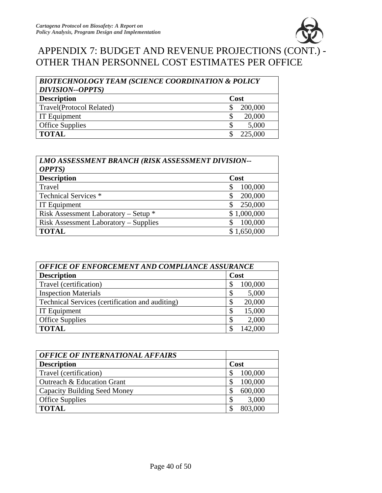

# APPENDIX 7: BUDGET AND REVENUE PROJECTIONS (CONT.) - OTHER THAN PERSONNEL COST ESTIMATES PER OFFICE

| <b>BIOTECHNOLOGY TEAM (SCIENCE COORDINATION &amp; POLICY</b><br><b>DIVISION--OPPTS</b> ) |         |  |
|------------------------------------------------------------------------------------------|---------|--|
| <b>Description</b>                                                                       | Cost    |  |
| <b>Travel</b> (Protocol Related)                                                         | 200,000 |  |
| <b>IT Equipment</b>                                                                      | 20,000  |  |
| <b>Office Supplies</b>                                                                   | 5,000   |  |
| <b>TOTAL</b>                                                                             | 225,000 |  |

| LMO ASSESSMENT BRANCH (RISK ASSESSMENT DIVISION-- |             |  |
|---------------------------------------------------|-------------|--|
| <b>OPPTS</b> )                                    |             |  |
| <b>Description</b>                                | Cost        |  |
| Travel                                            | 100,000     |  |
| Technical Services *                              | 200,000     |  |
| <b>IT Equipment</b>                               | 250,000     |  |
| Risk Assessment Laboratory – Setup *              | \$1,000,000 |  |
| <b>Risk Assessment Laboratory – Supplies</b>      | 100,000     |  |
| <b>TOTAL</b>                                      | \$1,650,000 |  |

| OFFICE OF ENFORCEMENT AND COMPLIANCE ASSURANCE  |         |  |
|-------------------------------------------------|---------|--|
| <b>Description</b>                              | Cost    |  |
| Travel (certification)                          | 100,000 |  |
| <b>Inspection Materials</b>                     | 5,000   |  |
| Technical Services (certification and auditing) | 20,000  |  |
| <b>IT Equipment</b>                             | 15,000  |  |
| <b>Office Supplies</b>                          | 2,000   |  |
| <b>TOTAL</b>                                    | 142,000 |  |

| <b>OFFICE OF INTERNATIONAL AFFAIRS</b> |         |
|----------------------------------------|---------|
| <b>Description</b>                     | Cost    |
| Travel (certification)                 | 100,000 |
| Outreach & Education Grant             | 100,000 |
| <b>Capacity Building Seed Money</b>    | 600,000 |
| <b>Office Supplies</b>                 | 3,000   |
| <b>TOTAL</b>                           | 803,000 |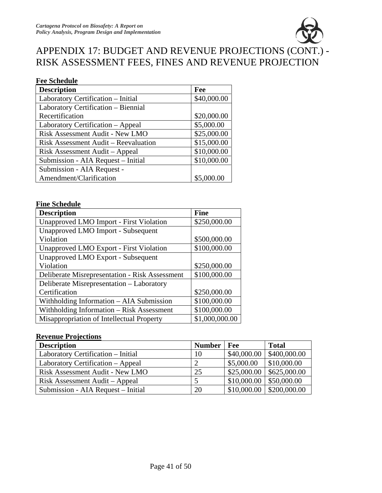

# APPENDIX 17: BUDGET AND REVENUE PROJECTIONS (CONT.) - RISK ASSESSMENT FEES, FINES AND REVENUE PROJECTION

#### **Fee Schedule**

| <b>Description</b>                   | Fee         |
|--------------------------------------|-------------|
| Laboratory Certification - Initial   | \$40,000.00 |
| Laboratory Certification - Biennial  |             |
| Recertification                      | \$20,000.00 |
| Laboratory Certification – Appeal    | \$5,000.00  |
| Risk Assessment Audit - New LMO      | \$25,000.00 |
| Risk Assessment Audit – Reevaluation | \$15,000.00 |
| Risk Assessment Audit – Appeal       | \$10,000.00 |
| Submission - AIA Request - Initial   | \$10,000.00 |
| Submission - AIA Request -           |             |
| Amendment/Clarification              | \$5,000.00  |

#### **Fine Schedule**

| <b>Description</b>                                    | <b>Fine</b>    |
|-------------------------------------------------------|----------------|
| Unapproved LMO Import - First Violation               | \$250,000.00   |
| Unapproved LMO Import - Subsequent                    |                |
| Violation                                             | \$500,000.00   |
| Unapproved LMO Export - First Violation               | \$100,000.00   |
| <b>Unapproved LMO Export - Subsequent</b>             |                |
| Violation                                             | \$250,000.00   |
| <b>Deliberate Misrepresentation - Risk Assessment</b> | \$100,000.00   |
| Deliberate Misrepresentation – Laboratory             |                |
| Certification                                         | \$250,000.00   |
| Withholding Information - AIA Submission              | \$100,000.00   |
| Withholding Information - Risk Assessment             | \$100,000.00   |
| Misappropriation of Intellectual Property             | \$1,000,000.00 |

#### **Revenue Projections**

| <b>Description</b>                 | <b>Number</b> | $ $ Fee     | <b>Total</b>                  |
|------------------------------------|---------------|-------------|-------------------------------|
| Laboratory Certification – Initial | 10            | \$40,000.00 | \$400,000.00                  |
| Laboratory Certification – Appeal  |               | \$5,000.00  | \$10,000.00                   |
| Risk Assessment Audit - New LMO    | 25            | \$25,000.00 | \$625,000.00                  |
| Risk Assessment Audit – Appeal     |               | \$10,000.00 | \$50,000.00                   |
| Submission - AIA Request - Initial | 20            |             | $$10,000.00 \mid $200,000.00$ |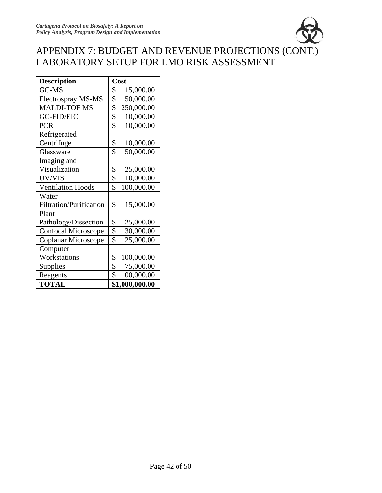

# APPENDIX 7: BUDGET AND REVENUE PROJECTIONS (CONT.) LABORATORY SETUP FOR LMO RISK ASSESSMENT

| <b>Description</b>             | Cost                         |
|--------------------------------|------------------------------|
| GC-MS                          | \$<br>15,000.00              |
| Electrospray MS-MS             | \$<br>150,000.00             |
| <b>MALDI-TOF MS</b>            | \$<br>250,000.00             |
| <b>GC-FID/EIC</b>              | \$<br>10,000.00              |
| <b>PCR</b>                     | \$<br>10,000.00              |
| Refrigerated                   |                              |
| Centrifuge                     | \$<br>10,000.00              |
| Glassware                      | \$<br>50,000.00              |
| Imaging and                    |                              |
| Visualization                  | \$<br>25,000.00              |
| UV/VIS                         | $\overline{\$}$<br>10,000.00 |
| <b>Ventilation Hoods</b>       | \$<br>100,000.00             |
| Water                          |                              |
| <b>Filtration/Purification</b> | \$<br>15,000.00              |
| Plant                          |                              |
| Pathology/Dissection           | \$<br>25,000.00              |
| <b>Confocal Microscope</b>     | \$<br>30,000.00              |
| Coplanar Microscope            | \$<br>25,000.00              |
| Computer                       |                              |
| Workstations                   | 100,000.00<br>\$             |
| Supplies                       | \$<br>75,000.00              |
| Reagents                       | \$<br>100,000.00             |
| <b>TOTAL</b>                   | \$1,000,000.00               |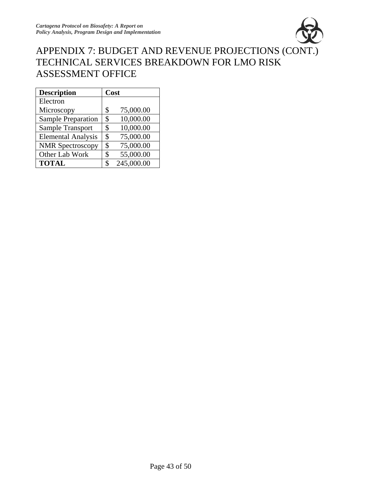

## APPENDIX 7: BUDGET AND REVENUE PROJECTIONS (CONT.) TECHNICAL SERVICES BREAKDOWN FOR LMO RISK ASSESSMENT OFFICE

| <b>Description</b>        |    | Cost       |
|---------------------------|----|------------|
| Electron                  |    |            |
| Microscopy                | \$ | 75,000.00  |
| Sample Preparation        | \$ | 10,000.00  |
| Sample Transport          | \$ | 10,000.00  |
| <b>Elemental Analysis</b> | \$ | 75,000.00  |
| <b>NMR</b> Spectroscopy   | \$ | 75,000.00  |
| Other Lab Work            | \$ | 55,000.00  |
| <b>TOTAL</b>              | \$ | 245,000.00 |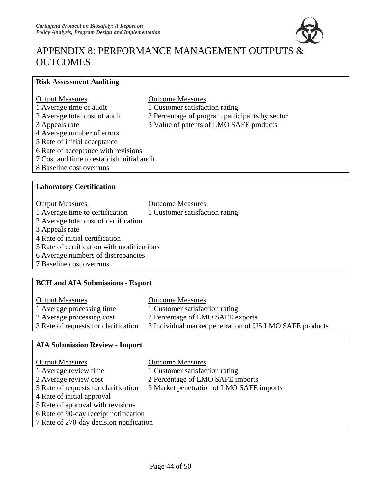

# APPENDIX 8: PERFORMANCE MANAGEMENT OUTPUTS & **OUTCOMES**

### **Risk Assessment Auditing**

| <b>Output Measures</b>                     | <b>Outcome Measures</b>                        |  |  |  |
|--------------------------------------------|------------------------------------------------|--|--|--|
| 1 Average time of audit                    | 1 Customer satisfaction rating                 |  |  |  |
| 2 Average total cost of audit              | 2 Percentage of program participants by sector |  |  |  |
| 3 Appeals rate                             | 3 Value of patents of LMO SAFE products        |  |  |  |
| 4 Average number of errors                 |                                                |  |  |  |
| 5 Rate of initial acceptance               |                                                |  |  |  |
| 6 Rate of acceptance with revisions        |                                                |  |  |  |
| 7 Cost and time to establish initial audit |                                                |  |  |  |
| 8 Baseline cost overruns                   |                                                |  |  |  |
|                                            |                                                |  |  |  |
| <b>Laboratory Certification</b>            |                                                |  |  |  |

| <b>Output Measures</b>                     | <b>Outcome Measures</b>        |  |
|--------------------------------------------|--------------------------------|--|
| 1 Average time to certification            | 1 Customer satisfaction rating |  |
| 2 Average total cost of certification      |                                |  |
| 3 Appeals rate                             |                                |  |
| 4 Rate of initial certification            |                                |  |
| 5 Rate of certification with modifications |                                |  |
| 6 Average numbers of discrepancies         |                                |  |
| 7 Baseline cost overruns                   |                                |  |

### **BCH and AIA Submissions - Export**

| <b>Output Measures</b>               | <b>Outcome Measures</b>                                 |
|--------------------------------------|---------------------------------------------------------|
| 1 Average processing time            | 1 Customer satisfaction rating                          |
| 2 Average processing cost            | 2 Percentage of LMO SAFE exports                        |
| 3 Rate of requests for clarification | 3 Individual market penetration of US LMO SAFE products |

### **AIA Submission Review - Import**

| <b>Output Measures</b>                  | <b>Outcome Measures</b>                  |
|-----------------------------------------|------------------------------------------|
| 1 Average review time                   | 1 Customer satisfaction rating           |
| 2 Average review cost                   | 2 Percentage of LMO SAFE imports         |
| 3 Rate of requests for clarification    | 3 Market penetration of LMO SAFE imports |
| 4 Rate of initial approval              |                                          |
| 5 Rate of approval with revisions       |                                          |
| 6 Rate of 90-day receipt notification   |                                          |
| 7 Rate of 270-day decision notification |                                          |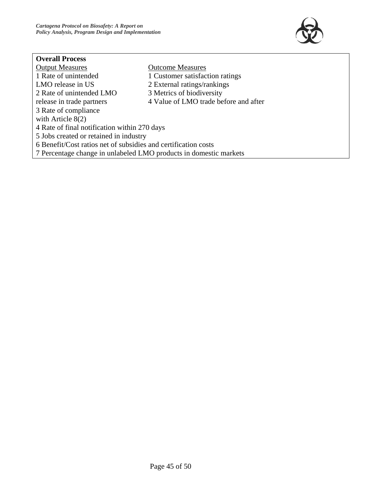

### **Overall Process**

| <b>Output Measures</b>                                            | <b>Outcome Measures</b>               |  |
|-------------------------------------------------------------------|---------------------------------------|--|
| 1 Rate of unintended                                              | 1 Customer satisfaction ratings       |  |
| LMO release in US                                                 | 2 External ratings/rankings           |  |
| 2 Rate of unintended LMO                                          | 3 Metrics of biodiversity             |  |
| release in trade partners                                         | 4 Value of LMO trade before and after |  |
| 3 Rate of compliance                                              |                                       |  |
| with Article $8(2)$                                               |                                       |  |
| 4 Rate of final notification within 270 days                      |                                       |  |
| 5 Jobs created or retained in industry                            |                                       |  |
| 6 Benefit/Cost ratios net of subsidies and certification costs    |                                       |  |
| 7 Percentage change in unlabeled LMO products in domestic markets |                                       |  |
|                                                                   |                                       |  |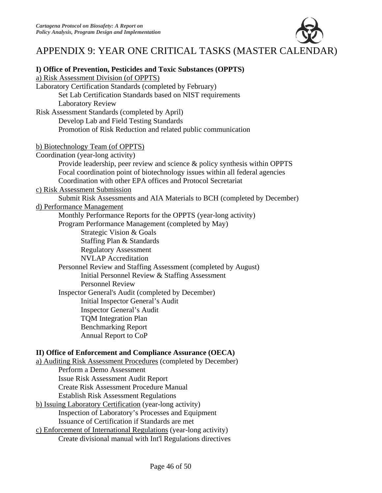

# APPENDIX 9: YEAR ONE CRITICAL TASKS (MASTER CALENDAR)

| I) Office of Prevention, Pesticides and Toxic Substances (OPPTS)             |  |
|------------------------------------------------------------------------------|--|
| a) Risk Assessment Division (of OPPTS)                                       |  |
| Laboratory Certification Standards (completed by February)                   |  |
| Set Lab Certification Standards based on NIST requirements                   |  |
| <b>Laboratory Review</b>                                                     |  |
| Risk Assessment Standards (completed by April)                               |  |
| Develop Lab and Field Testing Standards                                      |  |
| Promotion of Risk Reduction and related public communication                 |  |
| b) Biotechnology Team (of OPPTS)                                             |  |
| Coordination (year-long activity)                                            |  |
| Provide leadership, peer review and science & policy synthesis within OPPTS  |  |
| Focal coordination point of biotechnology issues within all federal agencies |  |
| Coordination with other EPA offices and Protocol Secretariat                 |  |
| c) Risk Assessment Submission                                                |  |
| Submit Risk Assessments and AIA Materials to BCH (completed by December)     |  |
| d) Performance Management                                                    |  |
| Monthly Performance Reports for the OPPTS (year-long activity)               |  |
| Program Performance Management (completed by May)                            |  |
| Strategic Vision & Goals                                                     |  |
| Staffing Plan & Standards                                                    |  |
| <b>Regulatory Assessment</b>                                                 |  |
| <b>NVLAP</b> Accreditation                                                   |  |
| Personnel Review and Staffing Assessment (completed by August)               |  |
| Initial Personnel Review & Staffing Assessment                               |  |
| <b>Personnel Review</b>                                                      |  |
| Inspector General's Audit (completed by December)                            |  |
| Initial Inspector General's Audit                                            |  |
| <b>Inspector General's Audit</b>                                             |  |
| <b>TQM</b> Integration Plan                                                  |  |
| <b>Benchmarking Report</b>                                                   |  |
| Annual Report to CoP                                                         |  |
| II) Office of Enforcement and Compliance Assurance (OECA)                    |  |
| a) Auditing Risk Assessment Procedures (completed by December)               |  |
| Perform a Demo Assessment                                                    |  |
| <b>Issue Risk Assessment Audit Report</b>                                    |  |
| <b>Create Risk Assessment Procedure Manual</b>                               |  |
| <b>Establish Risk Assessment Regulations</b>                                 |  |
| b) Issuing Laboratory Certification (year-long activity)                     |  |
| Inspection of Laboratory's Processes and Equipment                           |  |
| Issuance of Certification if Standards are met                               |  |

c) Enforcement of International Regulations (year-long activity) Create divisional manual with Int'l Regulations directives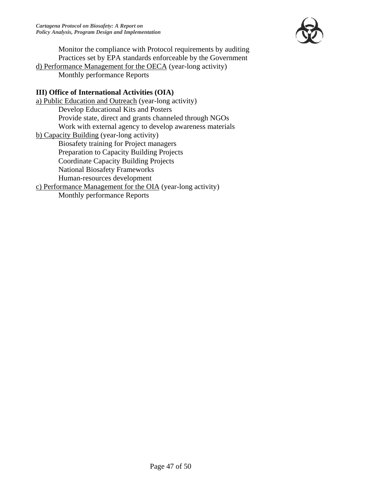

Monitor the compliance with Protocol requirements by auditing Practices set by EPA standards enforceable by the Government

d) Performance Management for the OECA (year-long activity) Monthly performance Reports

#### **III) Office of International Activities (OIA)**

a) Public Education and Outreach (year-long activity) Develop Educational Kits and Posters Provide state, direct and grants channeled through NGOs Work with external agency to develop awareness materials b) Capacity Building (year-long activity) Biosafety training for Project managers Preparation to Capacity Building Projects Coordinate Capacity Building Projects National Biosafety Frameworks Human-resources development c) Performance Management for the OIA (year-long activity) Monthly performance Reports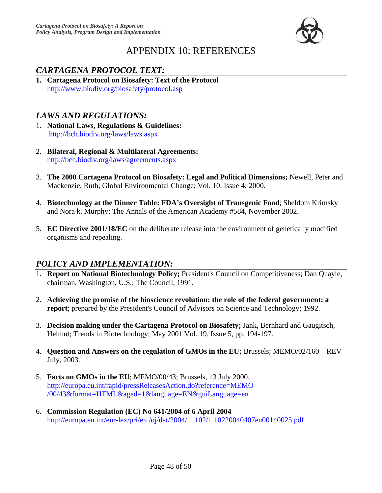

# APPENDIX 10: REFERENCES

### *CARTAGENA PROTOCOL TEXT:*

**1. Cartagena Protocol on Biosafety: Text of the Protocol**  http://www.biodiv.org/biosafety/protocol.asp

### *LAWS AND REGULATIONS:*

- 1. **National Laws, Regulations & Guidelines:** http://bch.biodiv.org/laws/laws.aspx
- 2. **Bilateral, Regional & Multilateral Agreements:**  http://bch.biodiv.org/laws/agreements.aspx
- 3. **The 2000 Cartagena Protocol on Biosafety: Legal and Political Dimensions;** Newell, Peter and Mackenzie, Ruth; Global Environmental Change; Vol. 10, Issue 4; 2000.
- 4. **Biotechnology at the Dinner Table: FDA's Oversight of Transgenic Food**; Sheldom Krimsky and Nora k. Murphy; The Annals of the American Academy #584, November 2002.
- 5. **EC Directive 2001/18/EC** on the deliberate release into the environment of genetically modified organisms and repealing.

### *POLICY AND IMPLEMENTATION:*

- 1. **Report on National Biotechnology Policy;** President's Council on Competitiveness; Dan Quayle, chairman. Washington, U.S.; The Council, 1991.
- 2. **Achieving the promise of the bioscience revolution: the role of the federal government: a report**; prepared by the President's Council of Advisors on Science and Technology; 1992.
- 3. **Decision making under the Cartagena Protocol on Biosafety;** Jank, Bernhard and Gaugitsch, Helmut; Trends in Biotechnology; May 2001 Vol. 19, Issue 5, pp. 194-197.
- 4. **Question and Answers on the regulation of GMOs in the EU;** Brussels; MEMO/02/160 REV July, 2003.
- 5. **Facts on GMOs in the EU**; MEMO/00/43; Brussels, 13 July 2000. http://europa.eu.int/rapid/pressReleasesAction.do?reference=MEMO /00/43&format=HTML&aged=1&language=EN&guiLanguage=en
- 6. **Commission Regulation (EC) No 641/2004 of 6 April 2004** http://europa.eu.int/eur-lex/pri/en /oj/dat/2004/ l\_102/l\_10220040407en00140025.pdf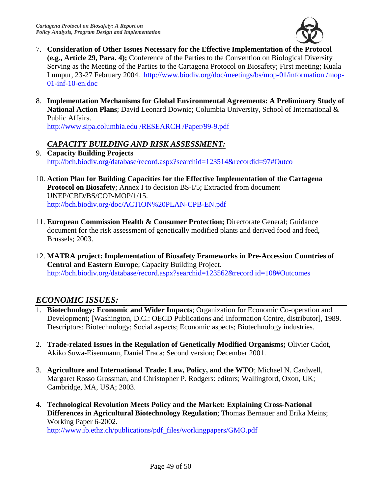

- 7. **Consideration of Other Issues Necessary for the Effective Implementation of the Protocol (e.g., Article 29, Para. 4);** Conference of the Parties to the Convention on Biological Diversity Serving as the Meeting of the Parties to the Cartagena Protocol on Biosafety; First meeting; Kuala Lumpur, 23-27 February 2004. http://www.biodiv.org/doc/meetings/bs/mop-01/information /mop-01-inf-10-en.doc
- 8. **Implementation Mechanisms for Global Environmental Agreements: A Preliminary Study of National Action Plans**; David Leonard Downie; Columbia University, School of International & Public Affairs.

http://www.sipa.columbia.edu /RESEARCH /Paper/99-9.pdf

### *CAPACITY BUILDING AND RISK ASSESSMENT:*

- 9. **Capacity Building Projects** http://bch.biodiv.org/database/record.aspx?searchid=123514&recordid=97#Outco
- 10. **Action Plan for Building Capacities for the Effective Implementation of the Cartagena Protocol on Biosafety**; Annex I to decision BS-I/5; Extracted from document UNEP/CBD/BS/COP-MOP/1/15. http://bch.biodiv.org/doc/ACTION%20PLAN-CPB-EN.pdf
- 11. **European Commission Health & Consumer Protection;** Directorate General; Guidance document for the risk assessment of genetically modified plants and derived food and feed, Brussels; 2003.
- 12. **MATRA project: Implementation of Biosafety Frameworks in Pre-Accession Countries of Central and Eastern Europe**; Capacity Building Project. http://bch.biodiv.org/database/record.aspx?searchid=123562&record id=108#Outcomes

### *ECONOMIC ISSUES:*

- 1. **Biotechnology: Economic and Wider Impacts**; Organization for Economic Co-operation and Development; [Washington, D.C.: OECD Publications and Information Centre, distributor], 1989. Descriptors: Biotechnology; Social aspects; Economic aspects; Biotechnology industries.
- 2. **Trade-related Issues in the Regulation of Genetically Modified Organisms;** Olivier Cadot, Akiko Suwa-Eisenmann, Daniel Traca; Second version; December 2001.
- 3. **Agriculture and International Trade: Law, Policy, and the WTO**; Michael N. Cardwell, Margaret Rosso Grossman, and Christopher P. Rodgers: editors; Wallingford, Oxon, UK; Cambridge, MA, USA; 2003.
- 4. **Technological Revolution Meets Policy and the Market: Explaining Cross-National Differences in Agricultural Biotechnology Regulation**; Thomas Bernauer and Erika Meins; Working Paper 6-2002.

http://www.ib.ethz.ch/publications/pdf\_files/workingpapers/GMO.pdf